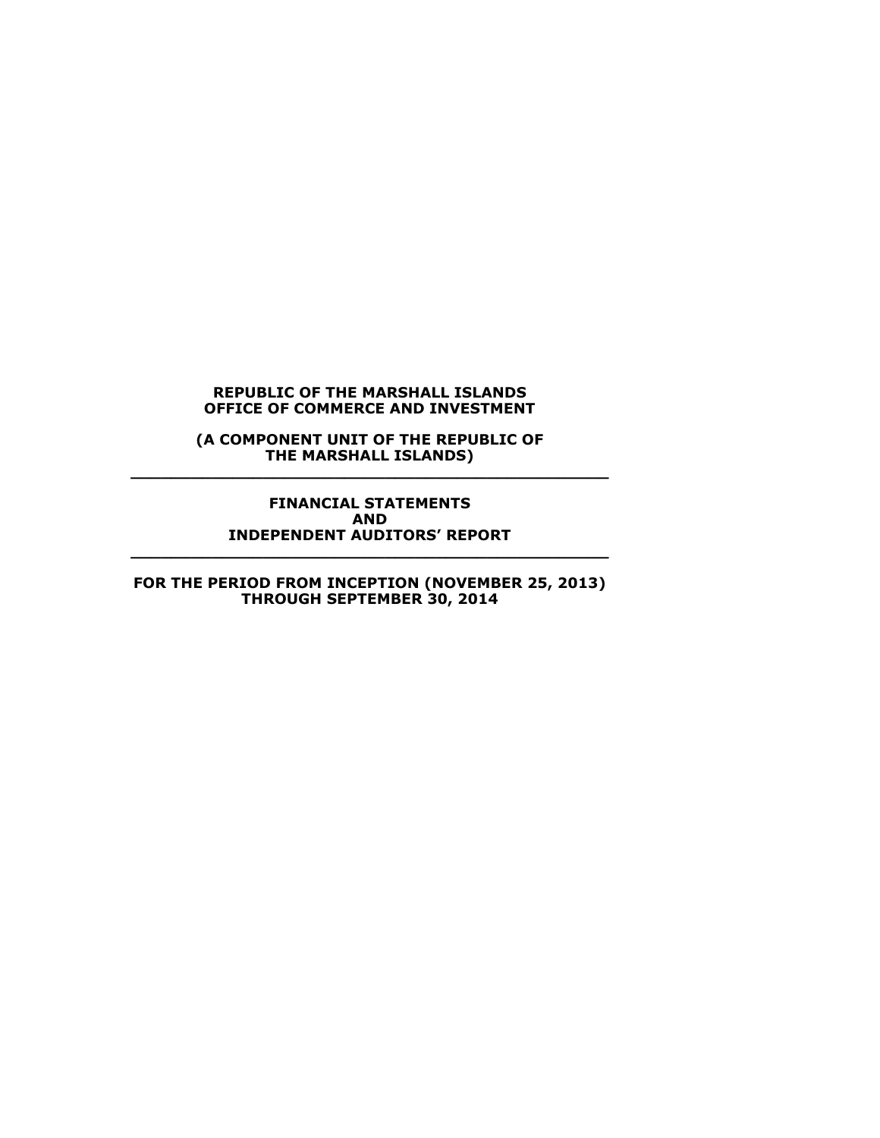**(A COMPONENT UNIT OF THE REPUBLIC OF THE MARSHALL ISLANDS) \_\_\_\_\_\_\_\_\_\_\_\_\_\_\_\_\_\_\_\_\_\_\_\_\_\_\_\_\_\_\_\_\_\_\_\_\_\_\_\_\_\_\_\_\_\_\_**

**FINANCIAL STATEMENTS AND INDEPENDENT AUDITORS' REPORT \_\_\_\_\_\_\_\_\_\_\_\_\_\_\_\_\_\_\_\_\_\_\_\_\_\_\_\_\_\_\_\_\_\_\_\_\_\_\_\_\_\_\_\_\_\_\_**

**FOR THE PERIOD FROM INCEPTION (NOVEMBER 25, 2013) THROUGH SEPTEMBER 30, 2014**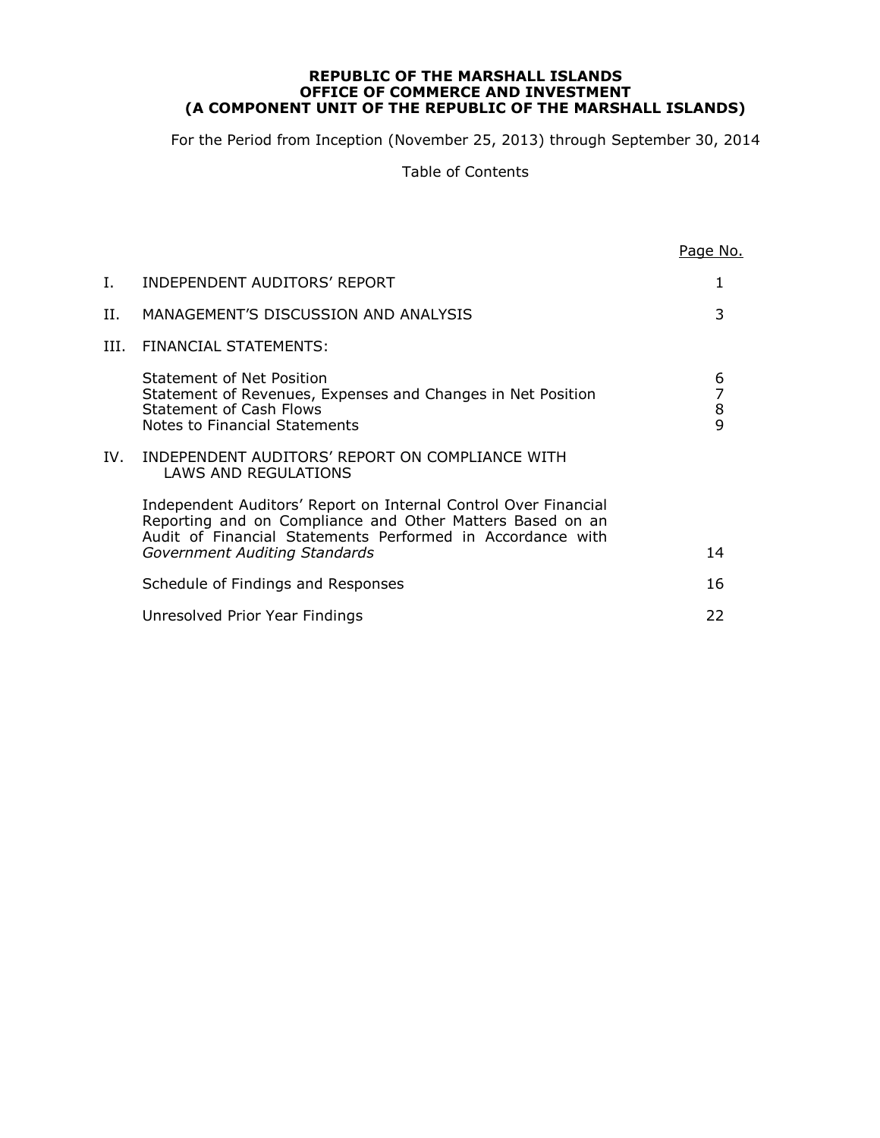#### **REPUBLIC OF THE MARSHALL ISLANDS OFFICE OF COMMERCE AND INVESTMENT (A COMPONENT UNIT OF THE REPUBLIC OF THE MARSHALL ISLANDS)**

For the Period from Inception (November 25, 2013) through September 30, 2014

Table of Contents

|     |                                                                                                                                                                                                                             | Page No.                                        |
|-----|-----------------------------------------------------------------------------------------------------------------------------------------------------------------------------------------------------------------------------|-------------------------------------------------|
| I.  | INDEPENDENT AUDITORS' REPORT                                                                                                                                                                                                |                                                 |
| Н.  | MANAGEMENT'S DISCUSSION AND ANALYSIS                                                                                                                                                                                        | 3                                               |
| HL. | FINANCIAL STATEMENTS:                                                                                                                                                                                                       |                                                 |
|     | Statement of Net Position<br>Statement of Revenues, Expenses and Changes in Net Position<br><b>Statement of Cash Flows</b><br>Notes to Financial Statements                                                                 | 6<br>$\begin{array}{c} 7 \\ 8 \\ 9 \end{array}$ |
| IV. | INDEPENDENT AUDITORS' REPORT ON COMPLIANCE WITH<br>LAWS AND REGULATIONS                                                                                                                                                     |                                                 |
|     | Independent Auditors' Report on Internal Control Over Financial<br>Reporting and on Compliance and Other Matters Based on an<br>Audit of Financial Statements Performed in Accordance with<br>Government Auditing Standards | 14                                              |
|     | Schedule of Findings and Responses                                                                                                                                                                                          | 16                                              |
|     | Unresolved Prior Year Findings                                                                                                                                                                                              | 22                                              |
|     |                                                                                                                                                                                                                             |                                                 |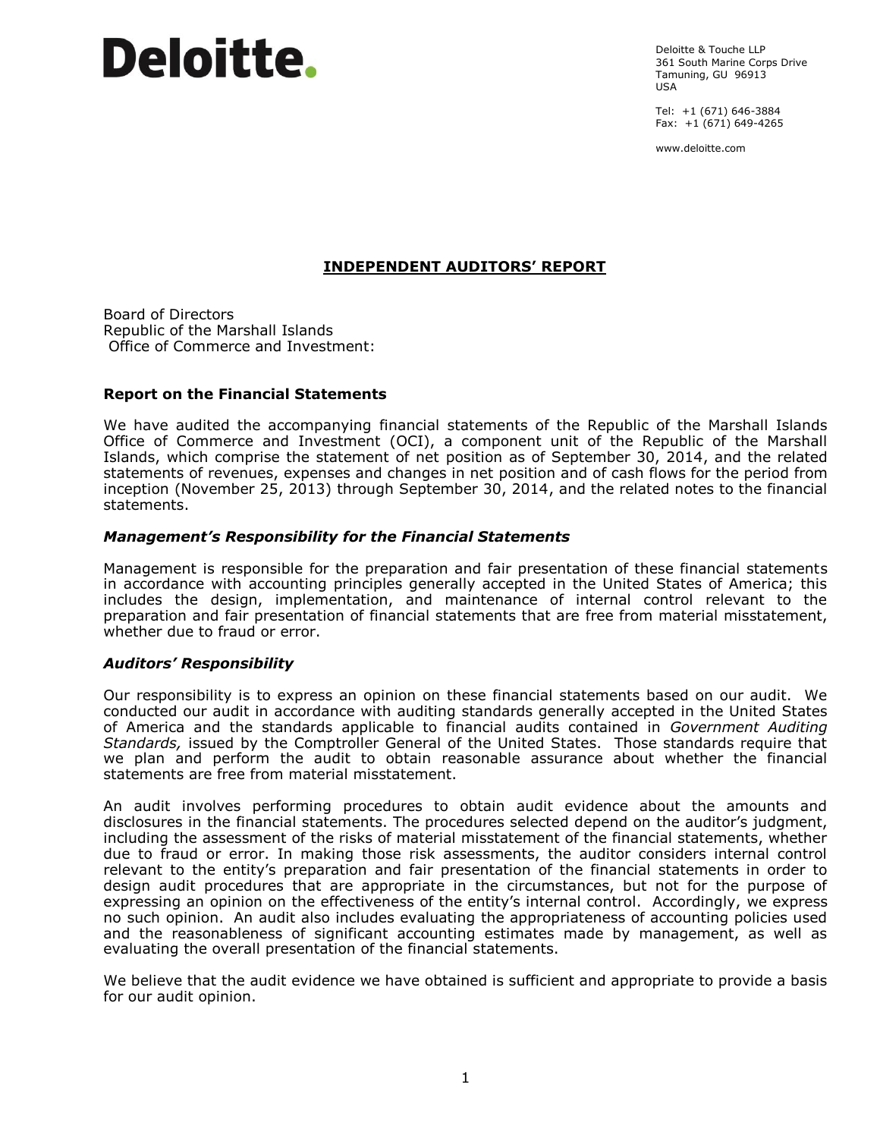# **Deloitte.**

Deloitte & Touche LLP 361 South Marine Corps Drive Tamuning, GU 96913 USA

Tel: +1 (671) 646-3884 Fax: +1 (671) 649-4265

www.deloitte.com

#### **INDEPENDENT AUDITORS' REPORT**

Board of Directors Republic of the Marshall Islands Office of Commerce and Investment:

#### **Report on the Financial Statements**

We have audited the accompanying financial statements of the Republic of the Marshall Islands Office of Commerce and Investment (OCI), a component unit of the Republic of the Marshall Islands, which comprise the statement of net position as of September 30, 2014, and the related statements of revenues, expenses and changes in net position and of cash flows for the period from inception (November 25, 2013) through September 30, 2014, and the related notes to the financial statements.

#### *Management's Responsibility for the Financial Statements*

Management is responsible for the preparation and fair presentation of these financial statements in accordance with accounting principles generally accepted in the United States of America; this includes the design, implementation, and maintenance of internal control relevant to the preparation and fair presentation of financial statements that are free from material misstatement, whether due to fraud or error.

#### *Auditors' Responsibility*

Our responsibility is to express an opinion on these financial statements based on our audit. We conducted our audit in accordance with auditing standards generally accepted in the United States of America and the standards applicable to financial audits contained in *Government Auditing Standards,* issued by the Comptroller General of the United States. Those standards require that we plan and perform the audit to obtain reasonable assurance about whether the financial statements are free from material misstatement.

An audit involves performing procedures to obtain audit evidence about the amounts and disclosures in the financial statements. The procedures selected depend on the auditor's judgment, including the assessment of the risks of material misstatement of the financial statements, whether due to fraud or error. In making those risk assessments, the auditor considers internal control relevant to the entity's preparation and fair presentation of the financial statements in order to design audit procedures that are appropriate in the circumstances, but not for the purpose of expressing an opinion on the effectiveness of the entity's internal control. Accordingly, we express no such opinion. An audit also includes evaluating the appropriateness of accounting policies used and the reasonableness of significant accounting estimates made by management, as well as evaluating the overall presentation of the financial statements.

We believe that the audit evidence we have obtained is sufficient and appropriate to provide a basis for our audit opinion.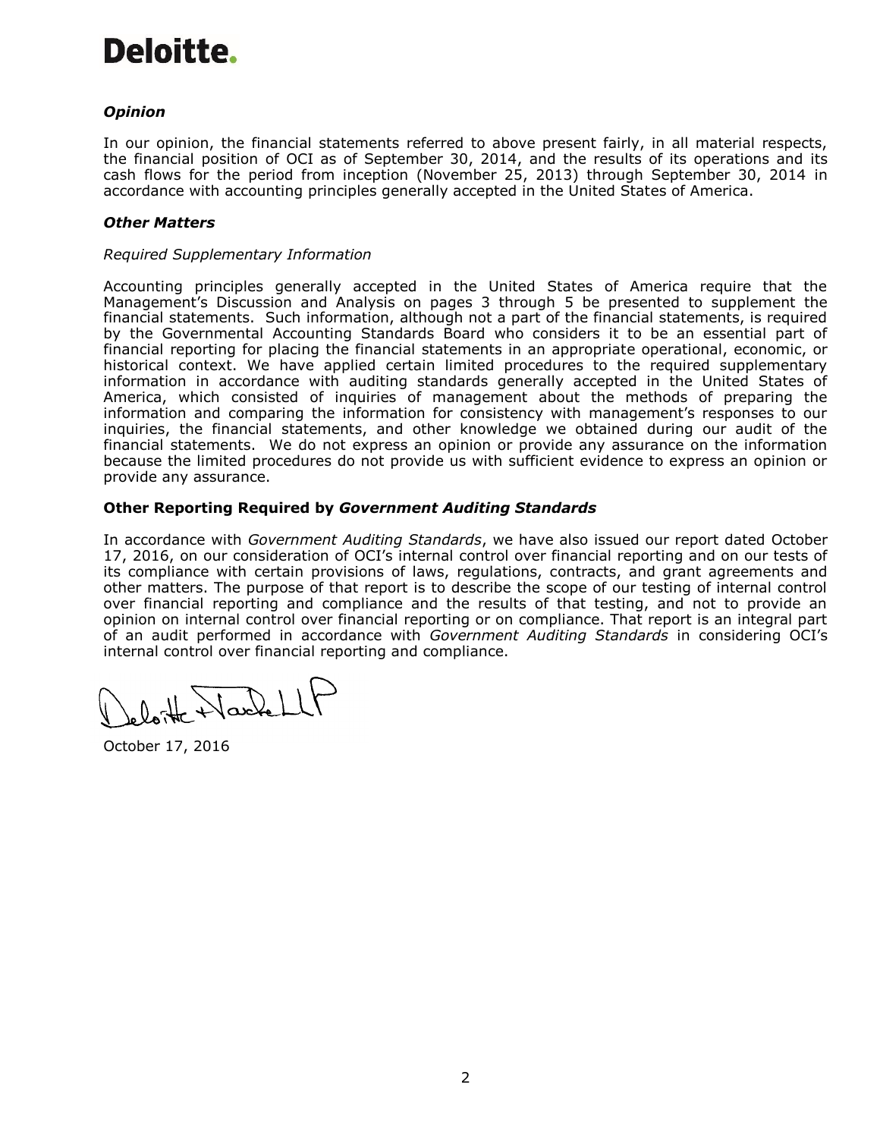# Deloitte.

#### *Opinion*

In our opinion, the financial statements referred to above present fairly, in all material respects, the financial position of OCI as of September 30, 2014, and the results of its operations and its cash flows for the period from inception (November 25, 2013) through September 30, 2014 in accordance with accounting principles generally accepted in the United States of America.

#### *Other Matters*

#### *Required Supplementary Information*

Accounting principles generally accepted in the United States of America require that the Management's Discussion and Analysis on pages 3 through 5 be presented to supplement the financial statements. Such information, although not a part of the financial statements, is required by the Governmental Accounting Standards Board who considers it to be an essential part of financial reporting for placing the financial statements in an appropriate operational, economic, or historical context. We have applied certain limited procedures to the required supplementary information in accordance with auditing standards generally accepted in the United States of America, which consisted of inquiries of management about the methods of preparing the information and comparing the information for consistency with management's responses to our inquiries, the financial statements, and other knowledge we obtained during our audit of the financial statements. We do not express an opinion or provide any assurance on the information because the limited procedures do not provide us with sufficient evidence to express an opinion or provide any assurance.

#### **Other Reporting Required by** *Government Auditing Standards*

In accordance with *Government Auditing Standards*, we have also issued our report dated October 17, 2016, on our consideration of OCI's internal control over financial reporting and on our tests of its compliance with certain provisions of laws, regulations, contracts, and grant agreements and other matters. The purpose of that report is to describe the scope of our testing of internal control over financial reporting and compliance and the results of that testing, and not to provide an opinion on internal control over financial reporting or on compliance. That report is an integral part of an audit performed in accordance with *Government Auditing Standards* in considering OCI's internal control over financial reporting and compliance.

Nachel

October 17, 2016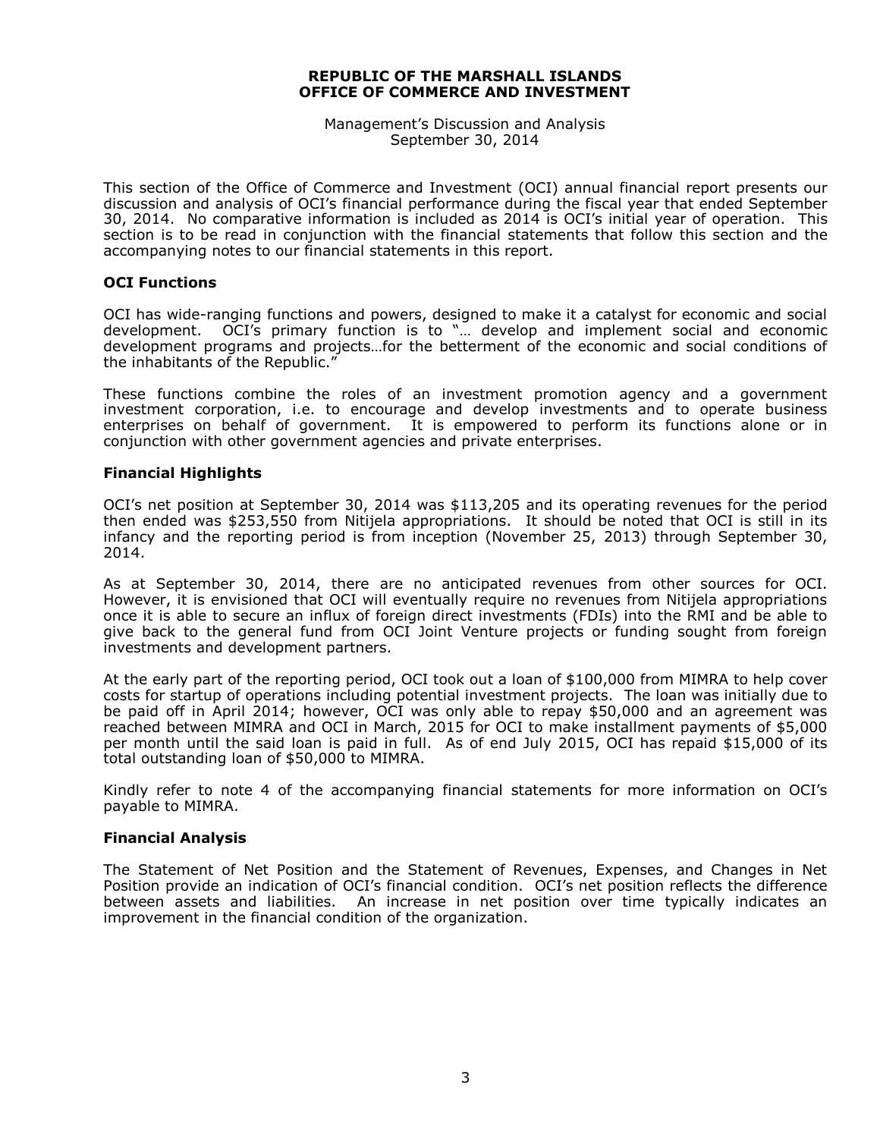Management's Discussion and Analysis September 30, 2014

This section of the Office of Commerce and Investment (OCI) annual financial report presents our discussion and analysis of OCI's financial performance during the fiscal year that ended September 30, 2014. No comparative information is included as 2014 is OCI's initial year of operation. This section is to be read in conjunction with the financial statements that follow this section and the accompanying notes to our financial statements in this report.

#### **OCI Functions**

OCI has wide-ranging functions and powers, designed to make it a catalyst for economic and social development. OCI's primary function is to "… develop and implement social and economic development programs and projects…for the betterment of the economic and social conditions of the inhabitants of the Republic."

These functions combine the roles of an investment promotion agency and a government investment corporation, i.e. to encourage and develop investments and to operate business enterprises on behalf of government. It is empowered to perform its functions alone or in conjunction with other government agencies and private enterprises.

#### **Financial Highlights**

OCI's net position at September 30, 2014 was \$113,205 and its operating revenues for the period then ended was \$253,550 from Nitijela appropriations. It should be noted that OCI is still in its infancy and the reporting period is from inception (November 25, 2013) through September 30, 2014.

As at September 30, 2014, there are no anticipated revenues from other sources for OCI. However, it is envisioned that OCI will eventually require no revenues from Nitijela appropriations once it is able to secure an influx of foreign direct investments (FDIs) into the RMI and be able to give back to the general fund from OCI Joint Venture projects or funding sought from foreign investments and development partners.

At the early part of the reporting period, OCI took out a loan of \$100,000 from MIMRA to help cover costs for startup of operations including potential investment projects. The loan was initially due to be paid off in April 2014; however, OCI was only able to repay \$50,000 and an agreement was reached between MIMRA and OCI in March, 2015 for OCI to make installment payments of \$5,000 per month until the said loan is paid in full. As of end July 2015, OCI has repaid \$15,000 of its total outstanding loan of \$50,000 to MIMRA.

Kindly refer to note 4 of the accompanying financial statements for more information on OCI's payable to MIMRA.

#### **Financial Analysis**

The Statement of Net Position and the Statement of Revenues, Expenses, and Changes in Net Position provide an indication of OCI's financial condition. OCI's net position reflects the difference between assets and liabilities. An increase in net position over time typically indicates an improvement in the financial condition of the organization.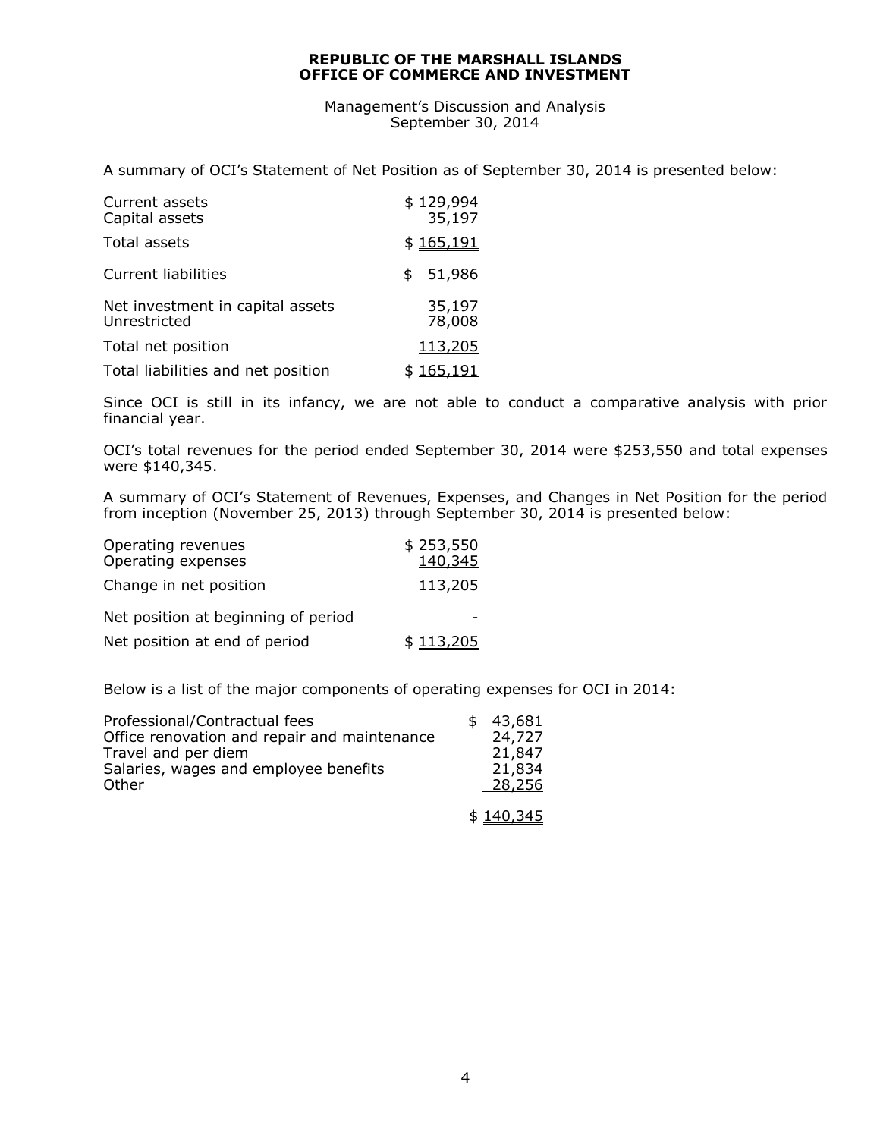Management's Discussion and Analysis September 30, 2014

A summary of OCI's Statement of Net Position as of September 30, 2014 is presented below:

| Current assets<br>Capital assets                 | \$129,994<br>35,197 |
|--------------------------------------------------|---------------------|
| Total assets                                     | \$165,191           |
| Current liabilities                              | \$ 51,986           |
| Net investment in capital assets<br>Unrestricted | 35,197<br>78,008    |
| Total net position                               | 113,205             |
| Total liabilities and net position               | \$165,191           |

Since OCI is still in its infancy, we are not able to conduct a comparative analysis with prior financial year.

OCI's total revenues for the period ended September 30, 2014 were \$253,550 and total expenses were \$140,345.

A summary of OCI's Statement of Revenues, Expenses, and Changes in Net Position for the period from inception (November 25, 2013) through September 30, 2014 is presented below:

| Operating revenues<br>Operating expenses | \$253,550<br>140,345 |
|------------------------------------------|----------------------|
| Change in net position                   | 113,205              |
| Net position at beginning of period      |                      |
| Net position at end of period            | \$113,205            |

Below is a list of the major components of operating expenses for OCI in 2014:

| Professional/Contractual fees<br>Office renovation and repair and maintenance<br>Travel and per diem<br>Salaries, wages and employee benefits<br>Other | 43,681<br>24,727<br>21,847<br>21,834<br>28,256 |
|--------------------------------------------------------------------------------------------------------------------------------------------------------|------------------------------------------------|
|                                                                                                                                                        | \$140,345                                      |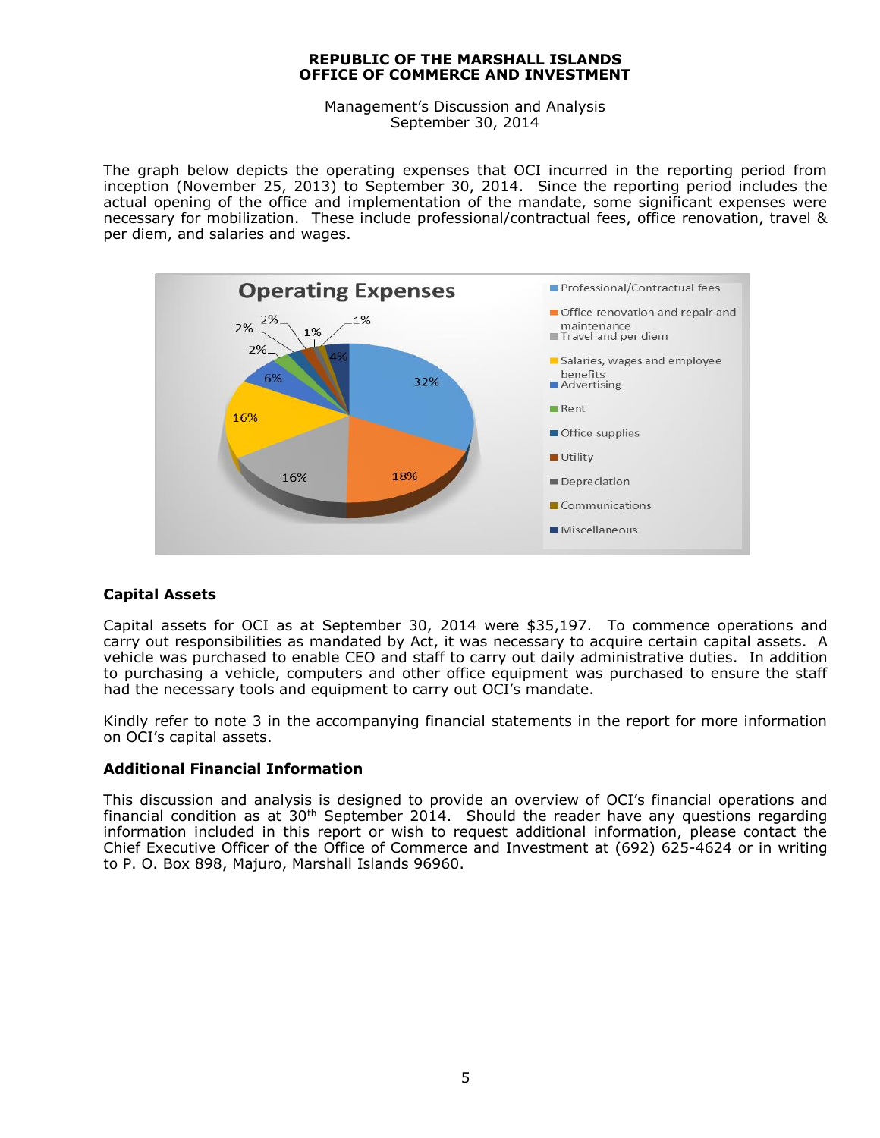Management's Discussion and Analysis September 30, 2014

The graph below depicts the operating expenses that OCI incurred in the reporting period from inception (November 25, 2013) to September 30, 2014. Since the reporting period includes the actual opening of the office and implementation of the mandate, some significant expenses were necessary for mobilization. These include professional/contractual fees, office renovation, travel & per diem, and salaries and wages.



#### **Capital Assets**

Capital assets for OCI as at September 30, 2014 were \$35,197. To commence operations and carry out responsibilities as mandated by Act, it was necessary to acquire certain capital assets. A vehicle was purchased to enable CEO and staff to carry out daily administrative duties. In addition to purchasing a vehicle, computers and other office equipment was purchased to ensure the staff had the necessary tools and equipment to carry out OCI's mandate.

Kindly refer to note 3 in the accompanying financial statements in the report for more information on OCI's capital assets.

#### **Additional Financial Information**

This discussion and analysis is designed to provide an overview of OCI's financial operations and financial condition as at  $30<sup>th</sup>$  September 2014. Should the reader have any questions regarding information included in this report or wish to request additional information, please contact the Chief Executive Officer of the Office of Commerce and Investment at (692) 625-4624 or in writing to P. O. Box 898, Majuro, Marshall Islands 96960.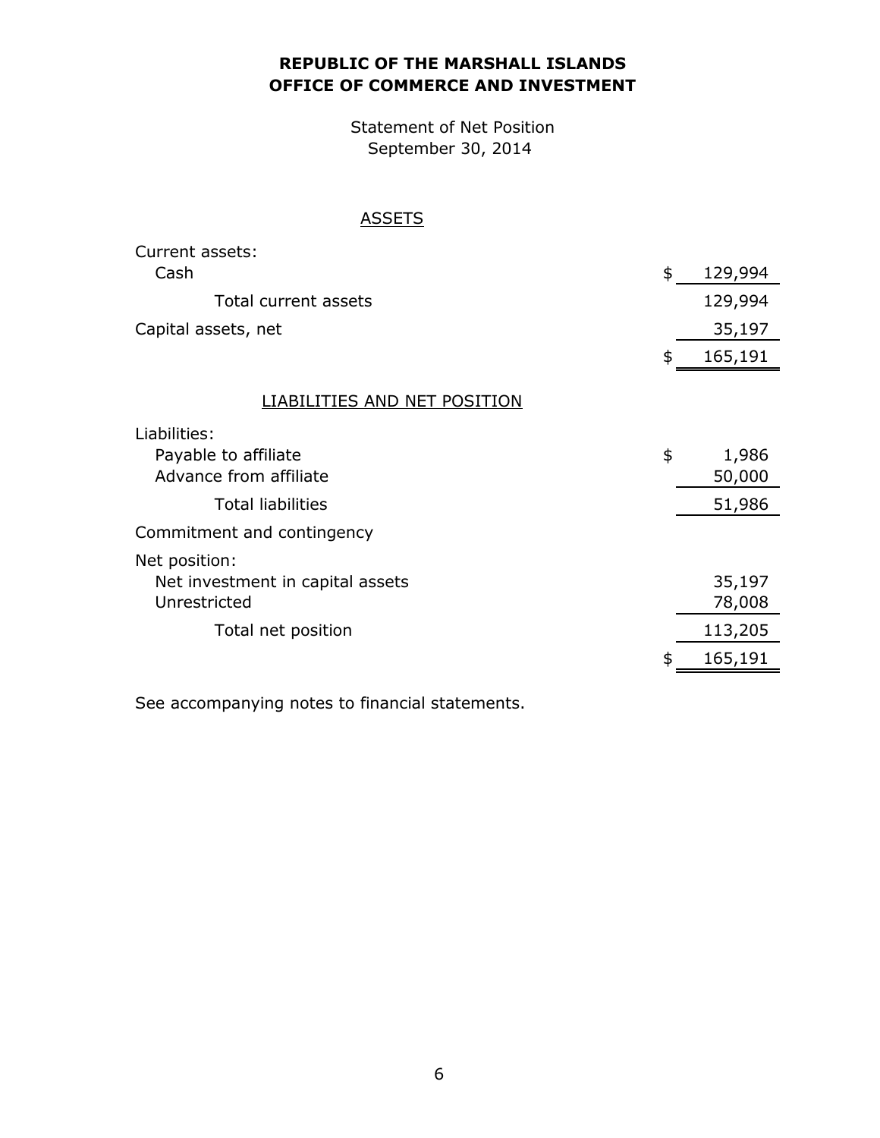## **OFFICE OF COMMERCE AND INVESTMENT REPUBLIC OF THE MARSHALL ISLANDS**

Statement of Net Position September 30, 2014

### **ASSETS**

| Current assets:                  |               |
|----------------------------------|---------------|
| Cash                             | \$<br>129,994 |
| Total current assets             | 129,994       |
| Capital assets, net              | 35,197        |
|                                  | \$<br>165,191 |
| LIABILITIES AND NET POSITION     |               |
| Liabilities:                     |               |
| Payable to affiliate             | \$<br>1,986   |
| Advance from affiliate           | 50,000        |
| <b>Total liabilities</b>         | 51,986        |
| Commitment and contingency       |               |
| Net position:                    |               |
| Net investment in capital assets | 35,197        |
| Unrestricted                     | 78,008        |
| Total net position               | 113,205       |
|                                  | \$<br>165,191 |

See accompanying notes to financial statements.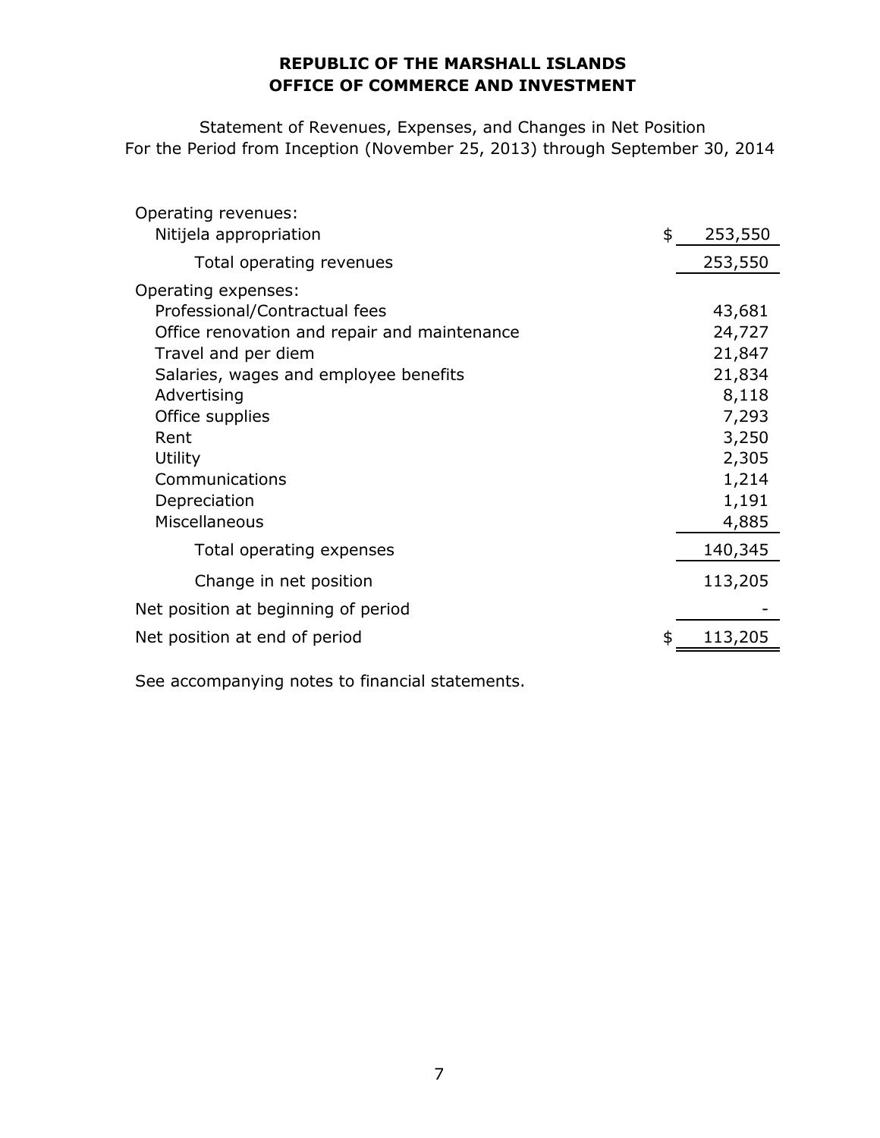### **OFFICE OF COMMERCE AND INVESTMENT REPUBLIC OF THE MARSHALL ISLANDS**

Statement of Revenues, Expenses, and Changes in Net Position For the Period from Inception (November 25, 2013) through September 30, 2014

| Operating revenues:                          |               |
|----------------------------------------------|---------------|
| Nitijela appropriation                       | \$<br>253,550 |
| Total operating revenues                     | 253,550       |
| Operating expenses:                          |               |
| Professional/Contractual fees                | 43,681        |
| Office renovation and repair and maintenance | 24,727        |
| Travel and per diem                          | 21,847        |
| Salaries, wages and employee benefits        | 21,834        |
| Advertising                                  | 8,118         |
| Office supplies                              | 7,293         |
| Rent                                         | 3,250         |
| Utility                                      | 2,305         |
| Communications                               | 1,214         |
| Depreciation                                 | 1,191         |
| Miscellaneous                                | 4,885         |
| Total operating expenses                     | 140,345       |
| Change in net position                       | 113,205       |
| Net position at beginning of period          |               |
| Net position at end of period                | \$<br>113,205 |
|                                              |               |

See accompanying notes to financial statements.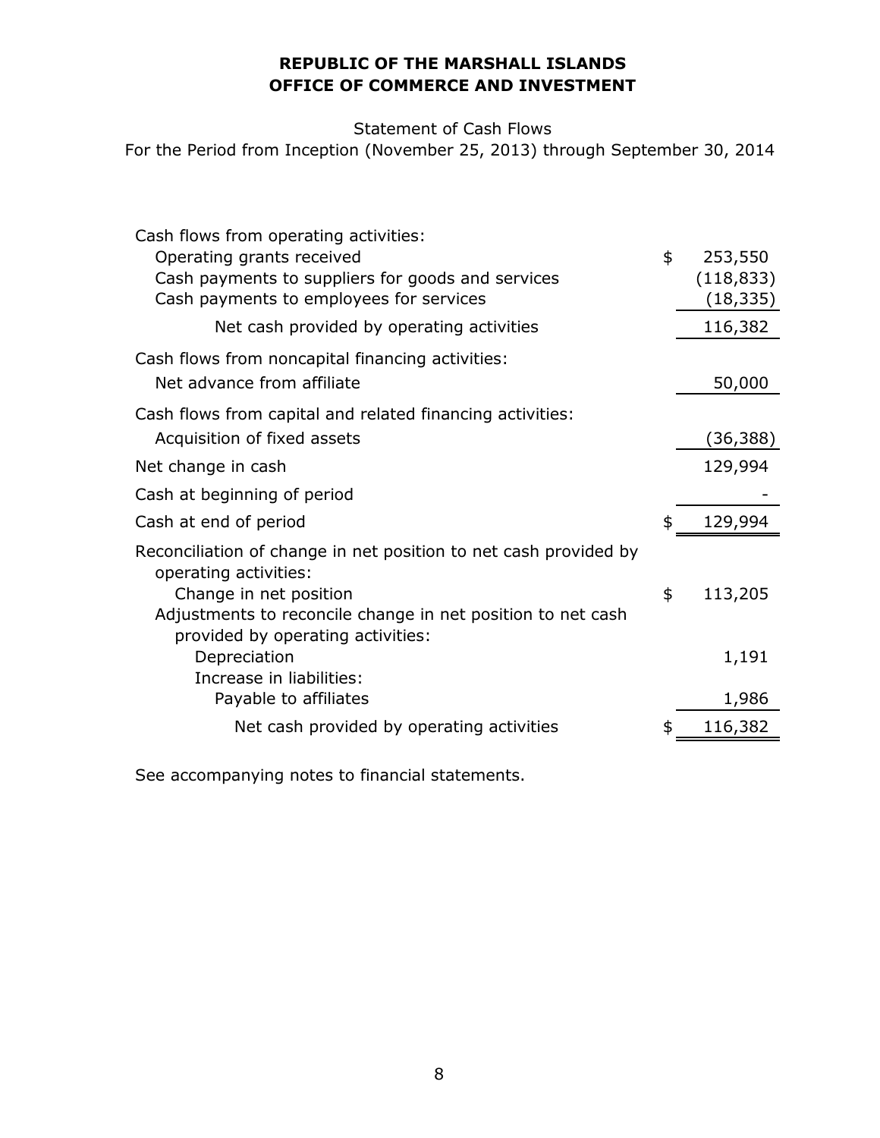## **OFFICE OF COMMERCE AND INVESTMENT REPUBLIC OF THE MARSHALL ISLANDS**

Statement of Cash Flows

For the Period from Inception (November 25, 2013) through September 30, 2014

| Cash flows from operating activities:                                                            |               |
|--------------------------------------------------------------------------------------------------|---------------|
| Operating grants received                                                                        | \$<br>253,550 |
| Cash payments to suppliers for goods and services                                                | (118, 833)    |
| Cash payments to employees for services                                                          | (18, 335)     |
| Net cash provided by operating activities                                                        | 116,382       |
| Cash flows from noncapital financing activities:                                                 |               |
| Net advance from affiliate                                                                       | 50,000        |
| Cash flows from capital and related financing activities:                                        |               |
| Acquisition of fixed assets                                                                      | (36, 388)     |
| Net change in cash                                                                               | 129,994       |
| Cash at beginning of period                                                                      |               |
| Cash at end of period                                                                            | \$<br>129,994 |
| Reconciliation of change in net position to net cash provided by<br>operating activities:        |               |
| Change in net position                                                                           | \$<br>113,205 |
| Adjustments to reconcile change in net position to net cash<br>provided by operating activities: |               |
| Depreciation                                                                                     | 1,191         |
| Increase in liabilities:                                                                         |               |
| Payable to affiliates                                                                            | 1,986         |
| Net cash provided by operating activities                                                        | \$<br>116,382 |
|                                                                                                  |               |

See accompanying notes to financial statements.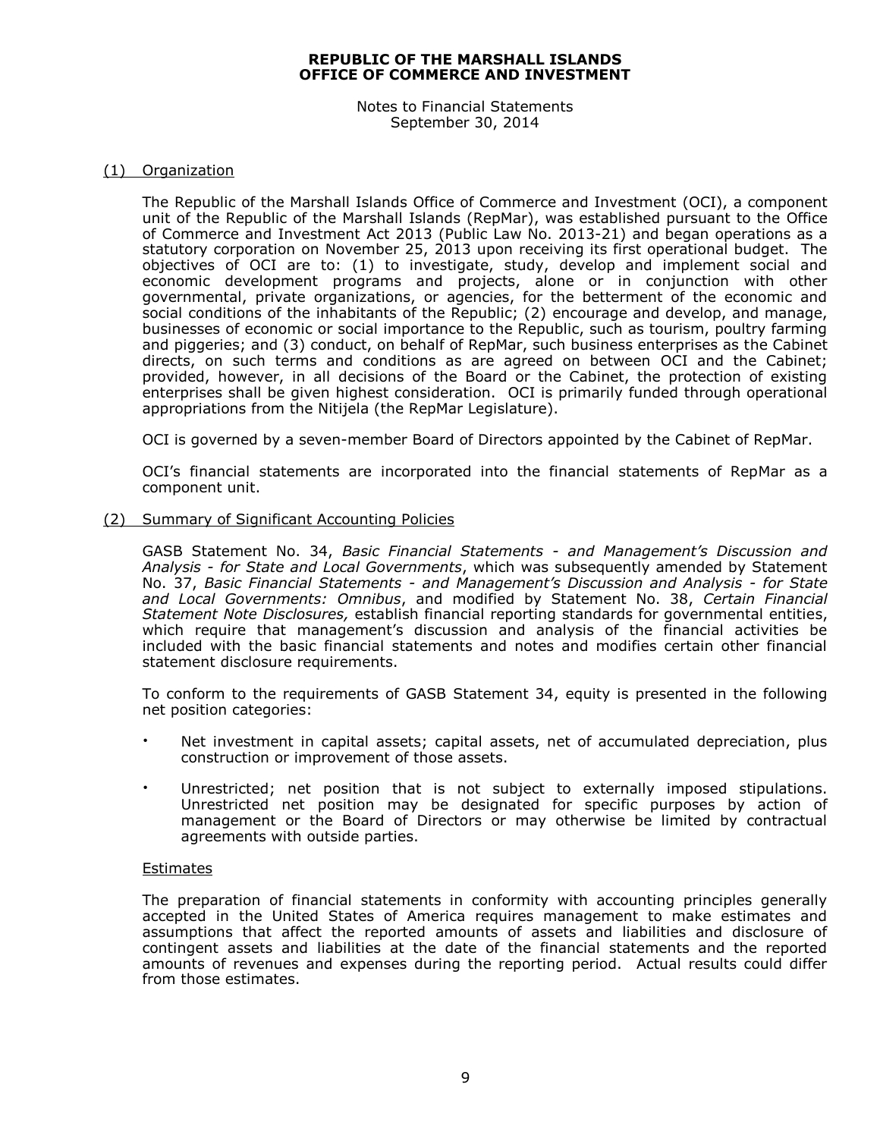Notes to Financial Statements September 30, 2014

#### (1) Organization

The Republic of the Marshall Islands Office of Commerce and Investment (OCI), a component unit of the Republic of the Marshall Islands (RepMar), was established pursuant to the Office of Commerce and Investment Act 2013 (Public Law No. 2013-21) and began operations as a statutory corporation on November 25, 2013 upon receiving its first operational budget. The objectives of OCI are to: (1) to investigate, study, develop and implement social and economic development programs and projects, alone or in conjunction with other governmental, private organizations, or agencies, for the betterment of the economic and social conditions of the inhabitants of the Republic; (2) encourage and develop, and manage, businesses of economic or social importance to the Republic, such as tourism, poultry farming and piggeries; and (3) conduct, on behalf of RepMar, such business enterprises as the Cabinet directs, on such terms and conditions as are agreed on between OCI and the Cabinet; provided, however, in all decisions of the Board or the Cabinet, the protection of existing enterprises shall be given highest consideration. OCI is primarily funded through operational appropriations from the Nitijela (the RepMar Legislature).

OCI is governed by a seven-member Board of Directors appointed by the Cabinet of RepMar.

OCI's financial statements are incorporated into the financial statements of RepMar as a component unit.

#### (2) Summary of Significant Accounting Policies

GASB Statement No. 34, *Basic Financial Statements - and Management's Discussion and Analysis - for State and Local Governments*, which was subsequently amended by Statement No. 37, *Basic Financial Statements - and Management's Discussion and Analysis - for State and Local Governments: Omnibus*, and modified by Statement No. 38, *Certain Financial Statement Note Disclosures,* establish financial reporting standards for governmental entities, which require that management's discussion and analysis of the financial activities be included with the basic financial statements and notes and modifies certain other financial statement disclosure requirements.

To conform to the requirements of GASB Statement 34, equity is presented in the following net position categories:

- Net investment in capital assets; capital assets, net of accumulated depreciation, plus construction or improvement of those assets.
- Unrestricted; net position that is not subject to externally imposed stipulations. Unrestricted net position may be designated for specific purposes by action of management or the Board of Directors or may otherwise be limited by contractual agreements with outside parties.

#### **Estimates**

The preparation of financial statements in conformity with accounting principles generally accepted in the United States of America requires management to make estimates and assumptions that affect the reported amounts of assets and liabilities and disclosure of contingent assets and liabilities at the date of the financial statements and the reported amounts of revenues and expenses during the reporting period. Actual results could differ from those estimates.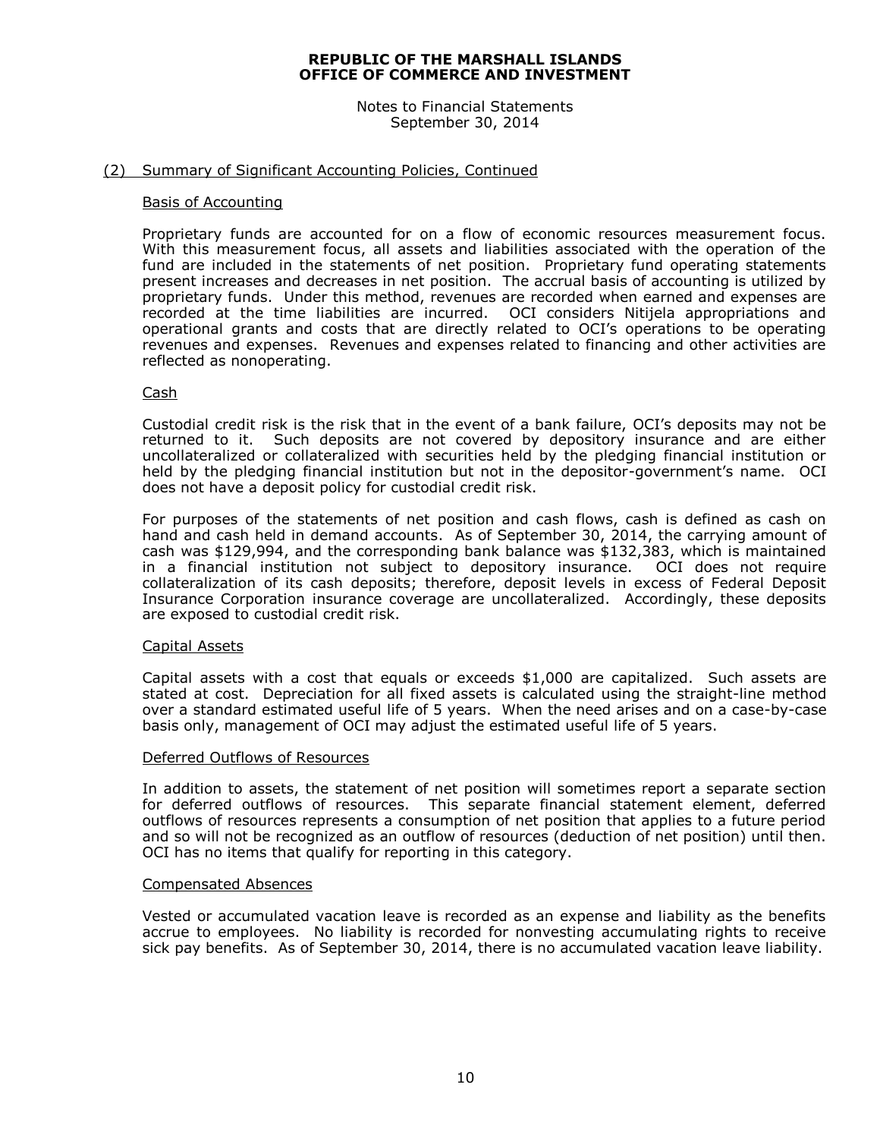Notes to Financial Statements September 30, 2014

#### (2) Summary of Significant Accounting Policies, Continued

#### Basis of Accounting

Proprietary funds are accounted for on a flow of economic resources measurement focus. With this measurement focus, all assets and liabilities associated with the operation of the fund are included in the statements of net position. Proprietary fund operating statements present increases and decreases in net position. The accrual basis of accounting is utilized by proprietary funds. Under this method, revenues are recorded when earned and expenses are recorded at the time liabilities are incurred. OCI considers Nitijela appropriations and operational grants and costs that are directly related to OCI's operations to be operating revenues and expenses. Revenues and expenses related to financing and other activities are reflected as nonoperating.

#### Cash

Custodial credit risk is the risk that in the event of a bank failure, OCI's deposits may not be returned to it. Such deposits are not covered by depository insurance and are either uncollateralized or collateralized with securities held by the pledging financial institution or held by the pledging financial institution but not in the depositor-government's name. OCI does not have a deposit policy for custodial credit risk.

For purposes of the statements of net position and cash flows, cash is defined as cash on hand and cash held in demand accounts. As of September 30, 2014, the carrying amount of cash was \$129,994, and the corresponding bank balance was \$132,383, which is maintained in a financial institution not subject to depository insurance. OCI does not require collateralization of its cash deposits; therefore, deposit levels in excess of Federal Deposit Insurance Corporation insurance coverage are uncollateralized. Accordingly, these deposits are exposed to custodial credit risk.

#### Capital Assets

Capital assets with a cost that equals or exceeds \$1,000 are capitalized. Such assets are stated at cost. Depreciation for all fixed assets is calculated using the straight-line method over a standard estimated useful life of 5 years. When the need arises and on a case-by-case basis only, management of OCI may adjust the estimated useful life of 5 years.

#### Deferred Outflows of Resources

In addition to assets, the statement of net position will sometimes report a separate section for deferred outflows of resources. This separate financial statement element, deferred outflows of resources represents a consumption of net position that applies to a future period and so will not be recognized as an outflow of resources (deduction of net position) until then. OCI has no items that qualify for reporting in this category.

#### Compensated Absences

Vested or accumulated vacation leave is recorded as an expense and liability as the benefits accrue to employees. No liability is recorded for nonvesting accumulating rights to receive sick pay benefits. As of September 30, 2014, there is no accumulated vacation leave liability.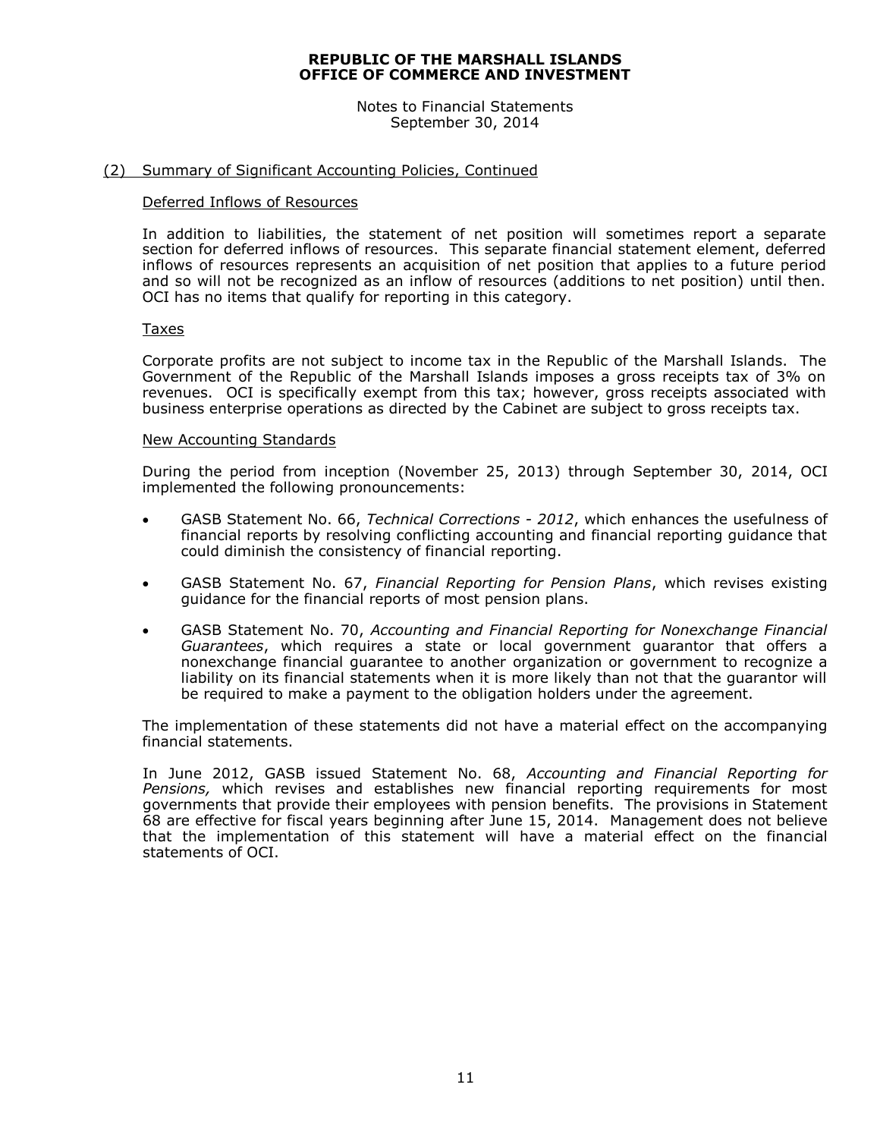Notes to Financial Statements September 30, 2014

#### (2) Summary of Significant Accounting Policies, Continued

#### Deferred Inflows of Resources

In addition to liabilities, the statement of net position will sometimes report a separate section for deferred inflows of resources. This separate financial statement element, deferred inflows of resources represents an acquisition of net position that applies to a future period and so will not be recognized as an inflow of resources (additions to net position) until then. OCI has no items that qualify for reporting in this category.

#### Taxes

Corporate profits are not subject to income tax in the Republic of the Marshall Islands. The Government of the Republic of the Marshall Islands imposes a gross receipts tax of 3% on revenues. OCI is specifically exempt from this tax; however, gross receipts associated with business enterprise operations as directed by the Cabinet are subject to gross receipts tax.

#### New Accounting Standards

During the period from inception (November 25, 2013) through September 30, 2014, OCI implemented the following pronouncements:

- GASB Statement No. 66, *Technical Corrections - 2012*, which enhances the usefulness of financial reports by resolving conflicting accounting and financial reporting guidance that could diminish the consistency of financial reporting.
- GASB Statement No. 67, *Financial Reporting for Pension Plans*, which revises existing guidance for the financial reports of most pension plans.
- GASB Statement No. 70, *Accounting and Financial Reporting for Nonexchange Financial Guarantees*, which requires a state or local government guarantor that offers a nonexchange financial guarantee to another organization or government to recognize a liability on its financial statements when it is more likely than not that the guarantor will be required to make a payment to the obligation holders under the agreement.

The implementation of these statements did not have a material effect on the accompanying financial statements.

In June 2012, GASB issued Statement No. 68, *Accounting and Financial Reporting for Pensions,* which revises and establishes new financial reporting requirements for most governments that provide their employees with pension benefits. The provisions in Statement 68 are effective for fiscal years beginning after June 15, 2014. Management does not believe that the implementation of this statement will have a material effect on the financial statements of OCI.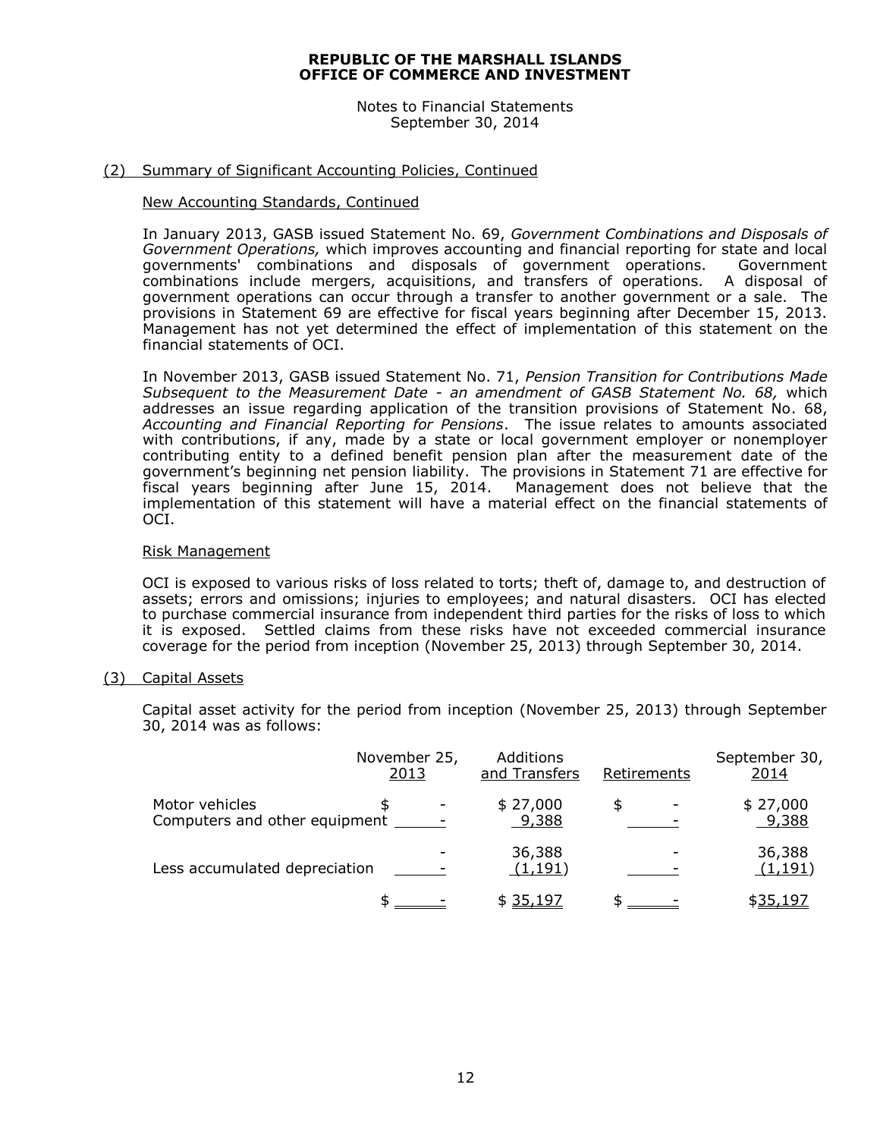Notes to Financial Statements September 30, 2014

#### (2) Summary of Significant Accounting Policies, Continued

#### New Accounting Standards, Continued

In January 2013, GASB issued Statement No. 69, *Government Combinations and Disposals of Government Operations,* which improves accounting and financial reporting for state and local governments' combinations and disposals of government operations. Government combinations include mergers, acquisitions, and transfers of operations. A disposal of government operations can occur through a transfer to another government or a sale. The provisions in Statement 69 are effective for fiscal years beginning after December 15, 2013. Management has not yet determined the effect of implementation of this statement on the financial statements of OCI.

In November 2013, GASB issued Statement No. 71, *Pension Transition for Contributions Made Subsequent to the Measurement Date - an amendment of GASB Statement No. 68,* which addresses an issue regarding application of the transition provisions of Statement No. 68, *Accounting and Financial Reporting for Pensions*. The issue relates to amounts associated with contributions, if any, made by a state or local government employer or nonemployer contributing entity to a defined benefit pension plan after the measurement date of the government's beginning net pension liability. The provisions in Statement 71 are effective for fiscal years beginning after June 15, 2014. Management does not believe that the implementation of this statement will have a material effect on the financial statements of OCI.

#### Risk Management

OCI is exposed to various risks of loss related to torts; theft of, damage to, and destruction of assets; errors and omissions; injuries to employees; and natural disasters. OCI has elected to purchase commercial insurance from independent third parties for the risks of loss to which it is exposed. Settled claims from these risks have not exceeded commercial insurance coverage for the period from inception (November 25, 2013) through September 30, 2014.

#### (3) Capital Assets

Capital asset activity for the period from inception (November 25, 2013) through September 30, 2014 was as follows:

|                                                 | November 25,<br>2013 | Additions<br>and Transfers | Retirements | September 30,<br>2014 |
|-------------------------------------------------|----------------------|----------------------------|-------------|-----------------------|
| Motor vehicles<br>Computers and other equipment |                      | \$27,000<br>9,388          |             | \$27,000<br>9,388     |
| Less accumulated depreciation                   |                      | 36,388<br>(1, 191)         |             | 36,388<br>(1, 191)    |
|                                                 |                      | \$35,197                   |             | \$35,197              |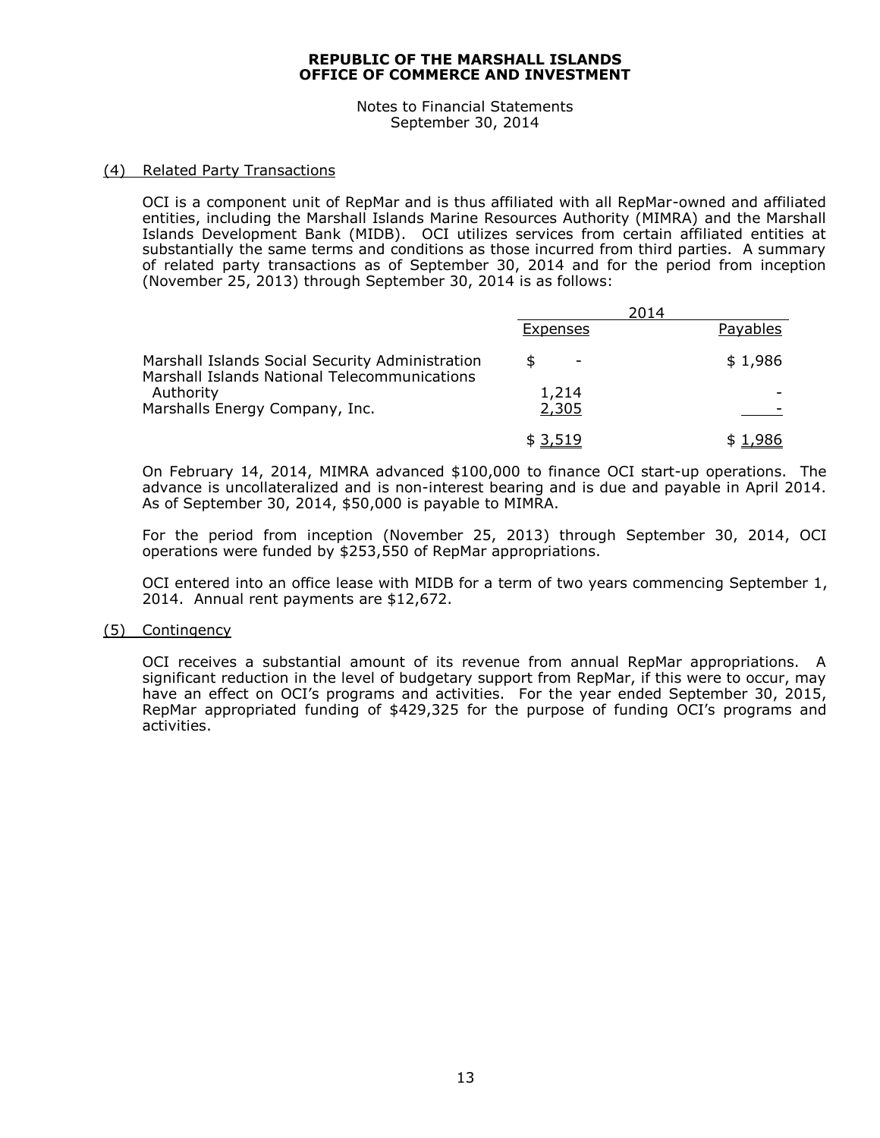Notes to Financial Statements September 30, 2014

#### (4) Related Party Transactions

OCI is a component unit of RepMar and is thus affiliated with all RepMar-owned and affiliated entities, including the Marshall Islands Marine Resources Authority (MIMRA) and the Marshall Islands Development Bank (MIDB). OCI utilizes services from certain affiliated entities at substantially the same terms and conditions as those incurred from third parties. A summary of related party transactions as of September 30, 2014 and for the period from inception (November 25, 2013) through September 30, 2014 is as follows:

|                                                                                                 | 2014            |          |
|-------------------------------------------------------------------------------------------------|-----------------|----------|
|                                                                                                 | <b>Expenses</b> | Payables |
| Marshall Islands Social Security Administration<br>Marshall Islands National Telecommunications | Æ,              | \$1,986  |
| Authority                                                                                       | 1,214           |          |
| Marshalls Energy Company, Inc.                                                                  | 2,305           |          |
|                                                                                                 | \$ 3,519        |          |

On February 14, 2014, MIMRA advanced \$100,000 to finance OCI start-up operations. The advance is uncollateralized and is non-interest bearing and is due and payable in April 2014. As of September 30, 2014, \$50,000 is payable to MIMRA.

For the period from inception (November 25, 2013) through September 30, 2014, OCI operations were funded by \$253,550 of RepMar appropriations.

OCI entered into an office lease with MIDB for a term of two years commencing September 1, 2014. Annual rent payments are \$12,672.

#### (5) Contingency

OCI receives a substantial amount of its revenue from annual RepMar appropriations. A significant reduction in the level of budgetary support from RepMar, if this were to occur, may have an effect on OCI's programs and activities. For the year ended September 30, 2015, RepMar appropriated funding of \$429,325 for the purpose of funding OCI's programs and activities.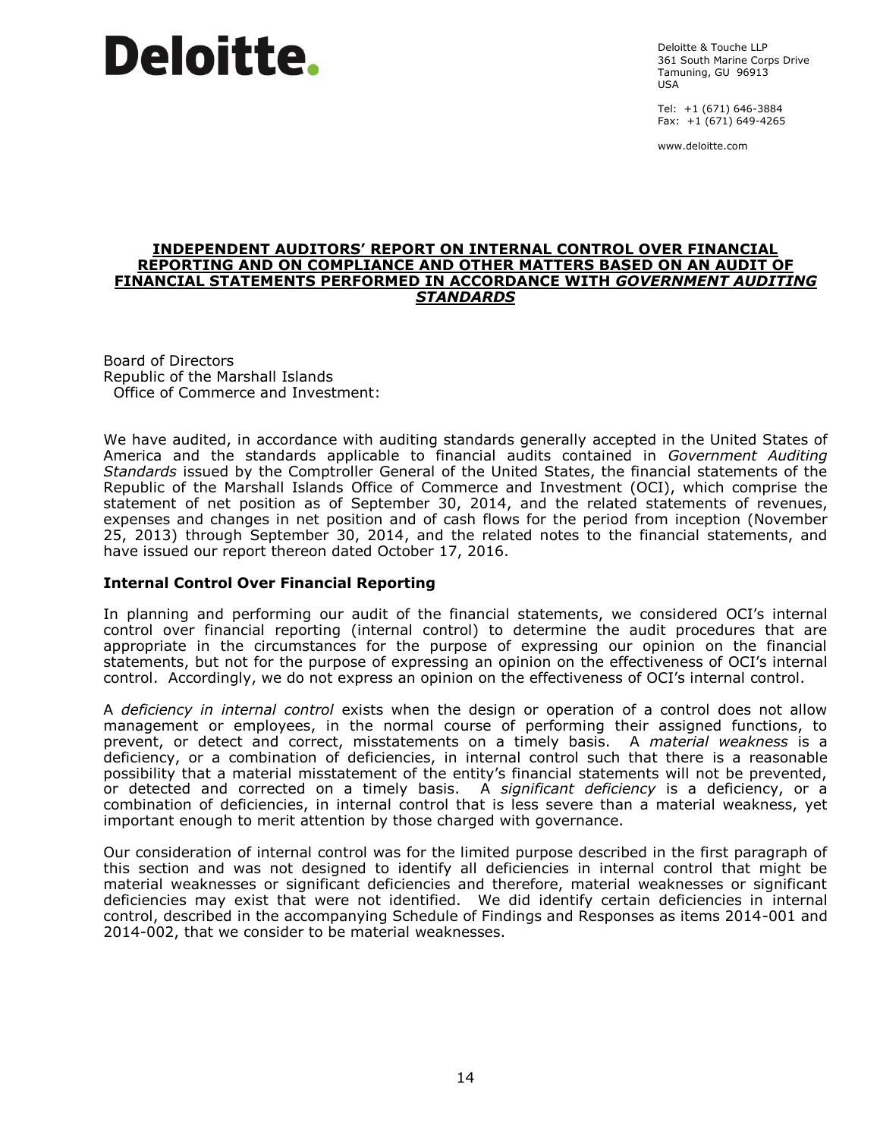# Deloitte.

Deloitte & Touche LLP 361 South Marine Corps Drive Tamuning, GU 96913 USA

Tel: +1 (671) 646-3884 Fax: +1 (671) 649-4265

www.deloitte.com

#### **INDEPENDENT AUDITORS' REPORT ON INTERNAL CONTROL OVER FINANCIAL REPORTING AND ON COMPLIANCE AND OTHER MATTERS BASED ON AN AUDIT OF FINANCIAL STATEMENTS PERFORMED IN ACCORDANCE WITH** *GOVERNMENT AUDITING STANDARDS*

Board of Directors Republic of the Marshall Islands Office of Commerce and Investment:

We have audited, in accordance with auditing standards generally accepted in the United States of America and the standards applicable to financial audits contained in *Government Auditing Standards* issued by the Comptroller General of the United States, the financial statements of the Republic of the Marshall Islands Office of Commerce and Investment (OCI), which comprise the statement of net position as of September 30, 2014, and the related statements of revenues, expenses and changes in net position and of cash flows for the period from inception (November 25, 2013) through September 30, 2014, and the related notes to the financial statements, and have issued our report thereon dated October 17, 2016.

#### **Internal Control Over Financial Reporting**

In planning and performing our audit of the financial statements, we considered OCI's internal control over financial reporting (internal control) to determine the audit procedures that are appropriate in the circumstances for the purpose of expressing our opinion on the financial statements, but not for the purpose of expressing an opinion on the effectiveness of OCI's internal control. Accordingly, we do not express an opinion on the effectiveness of OCI's internal control.

A *deficiency in internal control* exists when the design or operation of a control does not allow management or employees, in the normal course of performing their assigned functions, to prevent, or detect and correct, misstatements on a timely basis. A *material weakness* is a deficiency, or a combination of deficiencies, in internal control such that there is a reasonable possibility that a material misstatement of the entity's financial statements will not be prevented, or detected and corrected on a timely basis. A *significant deficiency* is a deficiency, or a combination of deficiencies, in internal control that is less severe than a material weakness, yet important enough to merit attention by those charged with governance.

Our consideration of internal control was for the limited purpose described in the first paragraph of this section and was not designed to identify all deficiencies in internal control that might be material weaknesses or significant deficiencies and therefore, material weaknesses or significant deficiencies may exist that were not identified. We did identify certain deficiencies in internal control, described in the accompanying Schedule of Findings and Responses as items 2014-001 and 2014-002, that we consider to be material weaknesses.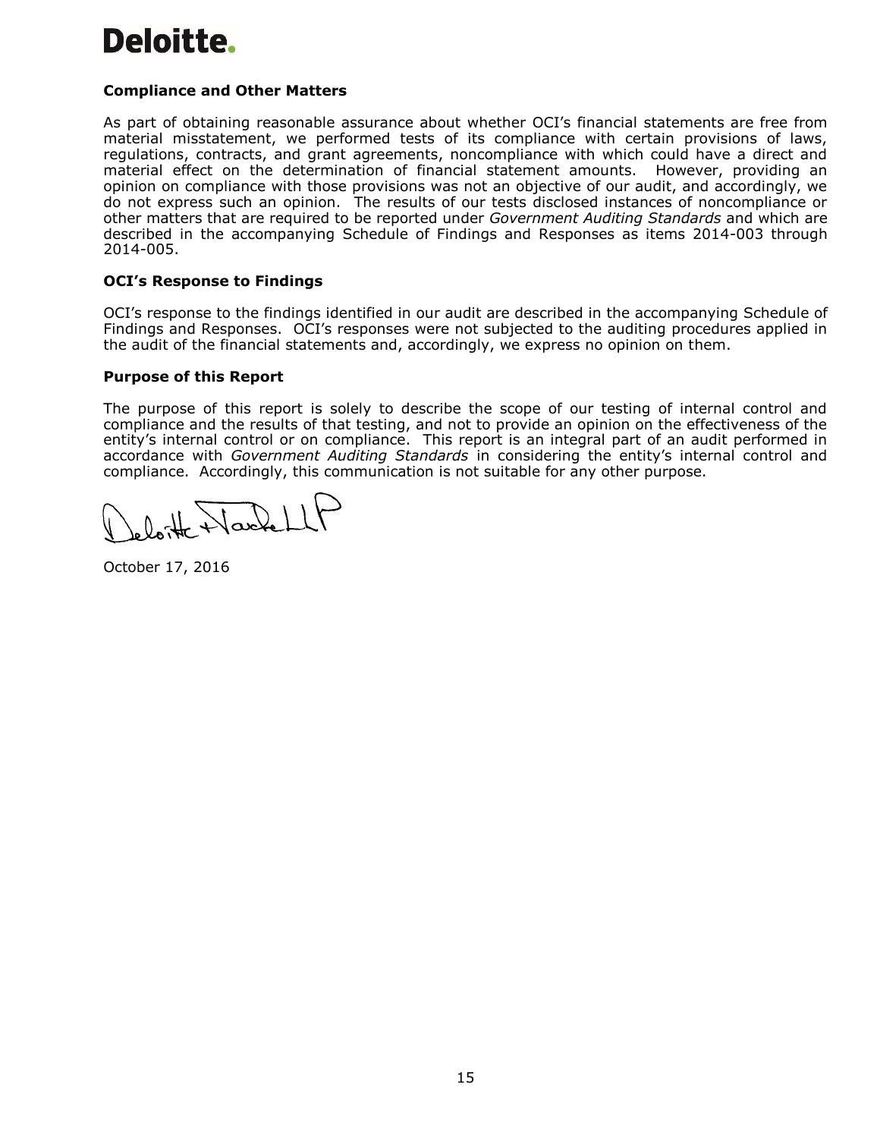# Deloitte.

#### **Compliance and Other Matters**

As part of obtaining reasonable assurance about whether OCI's financial statements are free from material misstatement, we performed tests of its compliance with certain provisions of laws, regulations, contracts, and grant agreements, noncompliance with which could have a direct and material effect on the determination of financial statement amounts. However, providing an opinion on compliance with those provisions was not an objective of our audit, and accordingly, we do not express such an opinion. The results of our tests disclosed instances of noncompliance or other matters that are required to be reported under *Government Auditing Standards* and which are described in the accompanying Schedule of Findings and Responses as items 2014-003 through 2014-005.

#### **OCI's Response to Findings**

OCI's response to the findings identified in our audit are described in the accompanying Schedule of Findings and Responses. OCI's responses were not subjected to the auditing procedures applied in the audit of the financial statements and, accordingly, we express no opinion on them.

#### **Purpose of this Report**

The purpose of this report is solely to describe the scope of our testing of internal control and compliance and the results of that testing, and not to provide an opinion on the effectiveness of the entity's internal control or on compliance. This report is an integral part of an audit performed in accordance with *Government Auditing Standards* in considering the entity's internal control and compliance. Accordingly, this communication is not suitable for any other purpose.

October 17, 2016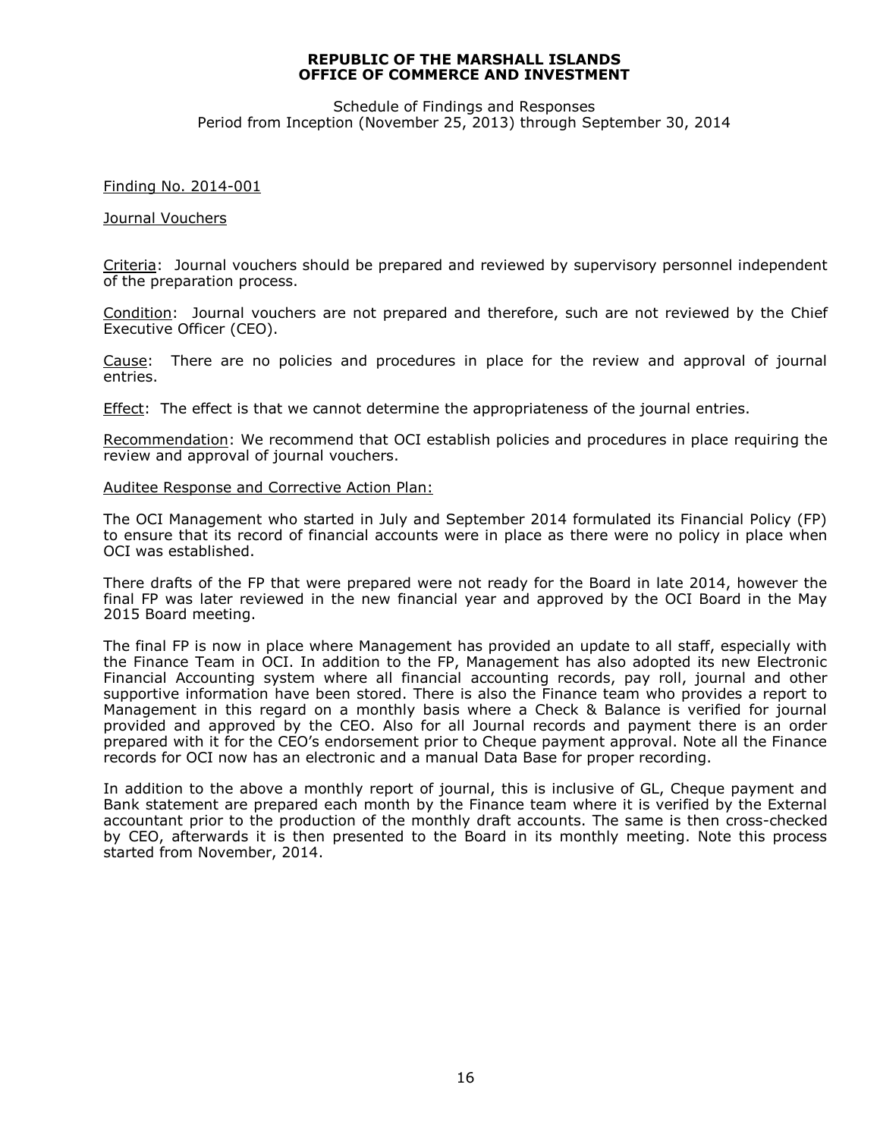Schedule of Findings and Responses Period from Inception (November 25, 2013) through September 30, 2014

#### Finding No. 2014-001

#### Journal Vouchers

Criteria: Journal vouchers should be prepared and reviewed by supervisory personnel independent of the preparation process.

Condition: Journal vouchers are not prepared and therefore, such are not reviewed by the Chief Executive Officer (CEO).

Cause: There are no policies and procedures in place for the review and approval of journal entries.

Effect: The effect is that we cannot determine the appropriateness of the journal entries.

Recommendation: We recommend that OCI establish policies and procedures in place requiring the review and approval of journal vouchers.

#### Auditee Response and Corrective Action Plan:

The OCI Management who started in July and September 2014 formulated its Financial Policy (FP) to ensure that its record of financial accounts were in place as there were no policy in place when OCI was established.

There drafts of the FP that were prepared were not ready for the Board in late 2014, however the final FP was later reviewed in the new financial year and approved by the OCI Board in the May 2015 Board meeting.

The final FP is now in place where Management has provided an update to all staff, especially with the Finance Team in OCI. In addition to the FP, Management has also adopted its new Electronic Financial Accounting system where all financial accounting records, pay roll, journal and other supportive information have been stored. There is also the Finance team who provides a report to Management in this regard on a monthly basis where a Check & Balance is verified for journal provided and approved by the CEO. Also for all Journal records and payment there is an order prepared with it for the CEO's endorsement prior to Cheque payment approval. Note all the Finance records for OCI now has an electronic and a manual Data Base for proper recording.

In addition to the above a monthly report of journal, this is inclusive of GL, Cheque payment and Bank statement are prepared each month by the Finance team where it is verified by the External accountant prior to the production of the monthly draft accounts. The same is then cross-checked by CEO, afterwards it is then presented to the Board in its monthly meeting. Note this process started from November, 2014.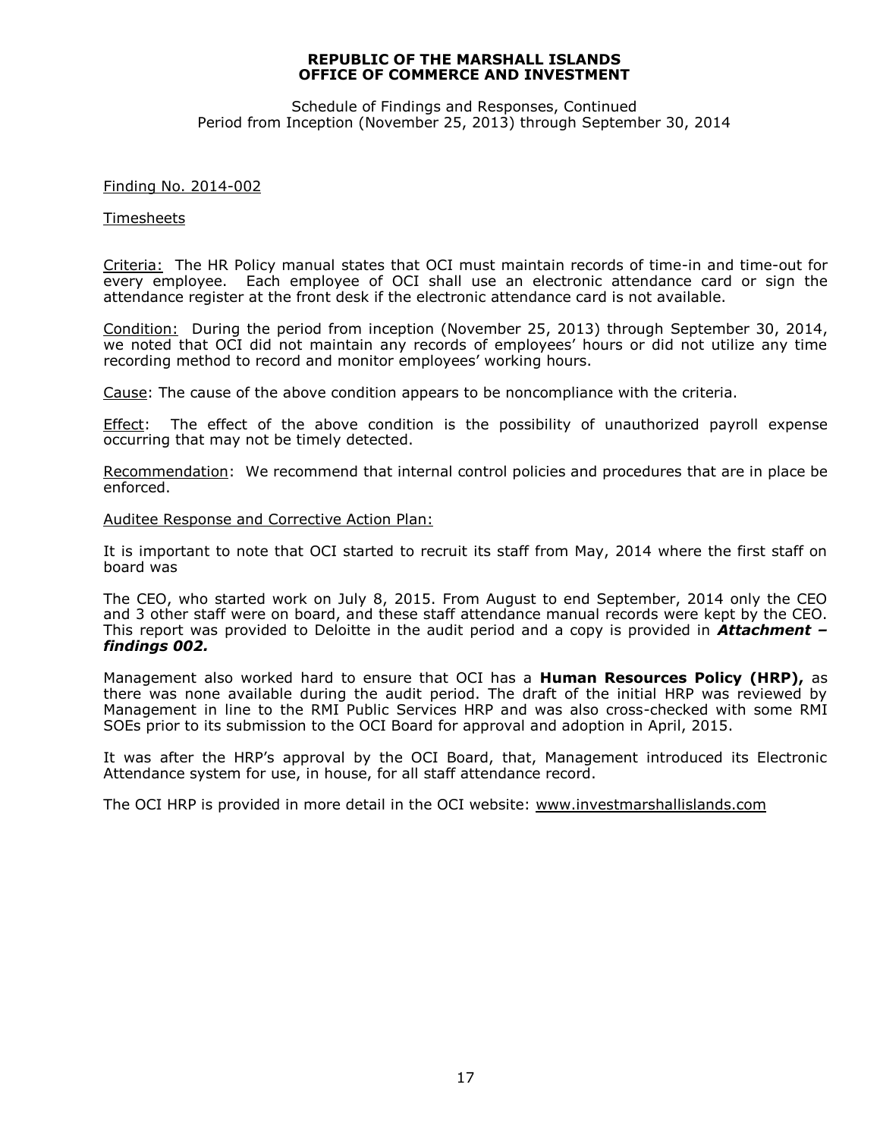Schedule of Findings and Responses, Continued Period from Inception (November 25, 2013) through September 30, 2014

#### Finding No. 2014-002

#### Timesheets

Criteria: The HR Policy manual states that OCI must maintain records of time-in and time-out for every employee. Each employee of OCI shall use an electronic attendance card or sign the attendance register at the front desk if the electronic attendance card is not available.

Condition: During the period from inception (November 25, 2013) through September 30, 2014, we noted that OCI did not maintain any records of employees' hours or did not utilize any time recording method to record and monitor employees' working hours.

Cause: The cause of the above condition appears to be noncompliance with the criteria.

Effect: The effect of the above condition is the possibility of unauthorized payroll expense occurring that may not be timely detected.

Recommendation: We recommend that internal control policies and procedures that are in place be enforced.

#### Auditee Response and Corrective Action Plan:

It is important to note that OCI started to recruit its staff from May, 2014 where the first staff on board was

The CEO, who started work on July 8, 2015. From August to end September, 2014 only the CEO and 3 other staff were on board, and these staff attendance manual records were kept by the CEO. This report was provided to Deloitte in the audit period and a copy is provided in *Attachment – findings 002.*

Management also worked hard to ensure that OCI has a **Human Resources Policy (HRP),** as there was none available during the audit period. The draft of the initial HRP was reviewed by Management in line to the RMI Public Services HRP and was also cross-checked with some RMI SOEs prior to its submission to the OCI Board for approval and adoption in April, 2015.

It was after the HRP's approval by the OCI Board, that, Management introduced its Electronic Attendance system for use, in house, for all staff attendance record.

The OCI HRP is provided in more detail in the OCI website: [www.investmarshallislands.com](http://www.investmarshallislands.com/)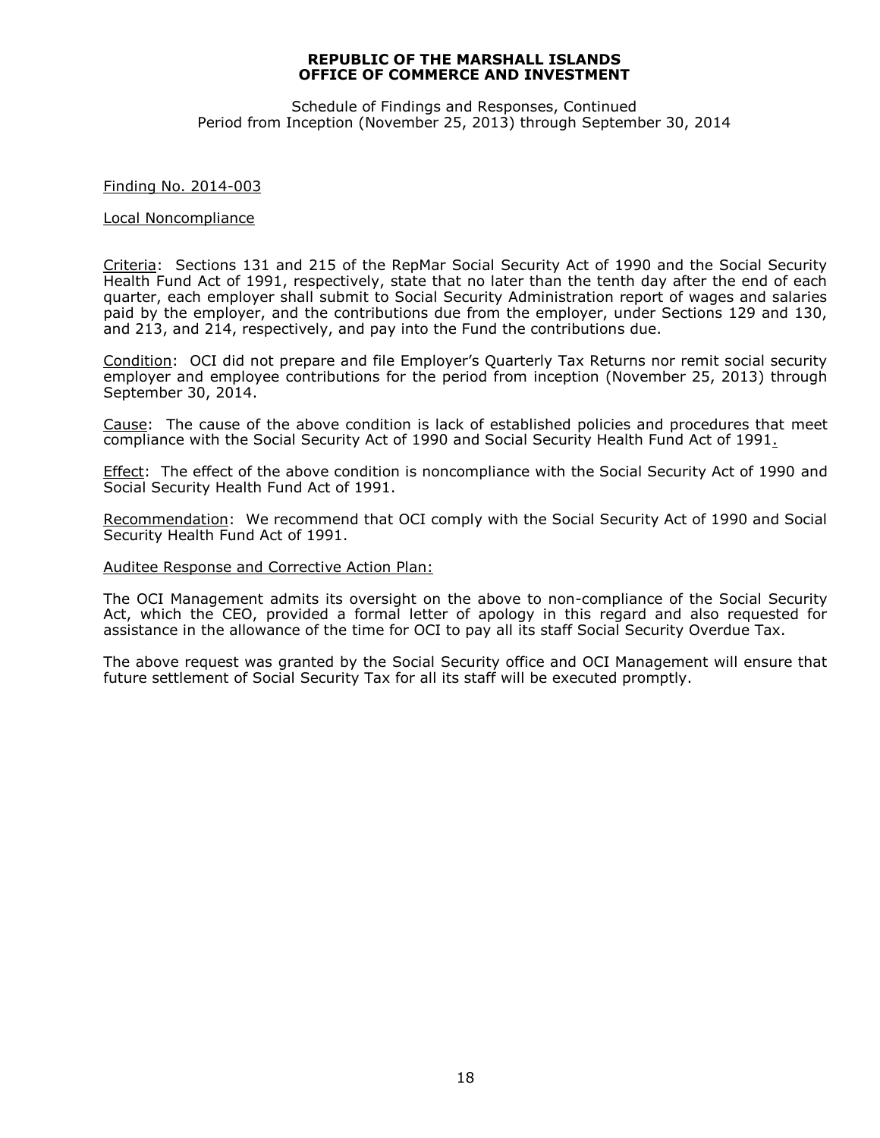Schedule of Findings and Responses, Continued Period from Inception (November 25, 2013) through September 30, 2014

#### Finding No. 2014-003

#### Local Noncompliance

Criteria: Sections 131 and 215 of the RepMar Social Security Act of 1990 and the Social Security Health Fund Act of 1991, respectively, state that no later than the tenth day after the end of each quarter, each employer shall submit to Social Security Administration report of wages and salaries paid by the employer, and the contributions due from the employer, under Sections 129 and 130, and 213, and 214, respectively, and pay into the Fund the contributions due.

Condition: OCI did not prepare and file Employer's Quarterly Tax Returns nor remit social security employer and employee contributions for the period from inception (November 25, 2013) through September 30, 2014.

Cause: The cause of the above condition is lack of established policies and procedures that meet compliance with the Social Security Act of 1990 and Social Security Health Fund Act of 1991.

Effect: The effect of the above condition is noncompliance with the Social Security Act of 1990 and Social Security Health Fund Act of 1991.

Recommendation: We recommend that OCI comply with the Social Security Act of 1990 and Social Security Health Fund Act of 1991.

#### Auditee Response and Corrective Action Plan:

The OCI Management admits its oversight on the above to non-compliance of the Social Security Act, which the CEO, provided a formal letter of apology in this regard and also requested for assistance in the allowance of the time for OCI to pay all its staff Social Security Overdue Tax.

The above request was granted by the Social Security office and OCI Management will ensure that future settlement of Social Security Tax for all its staff will be executed promptly.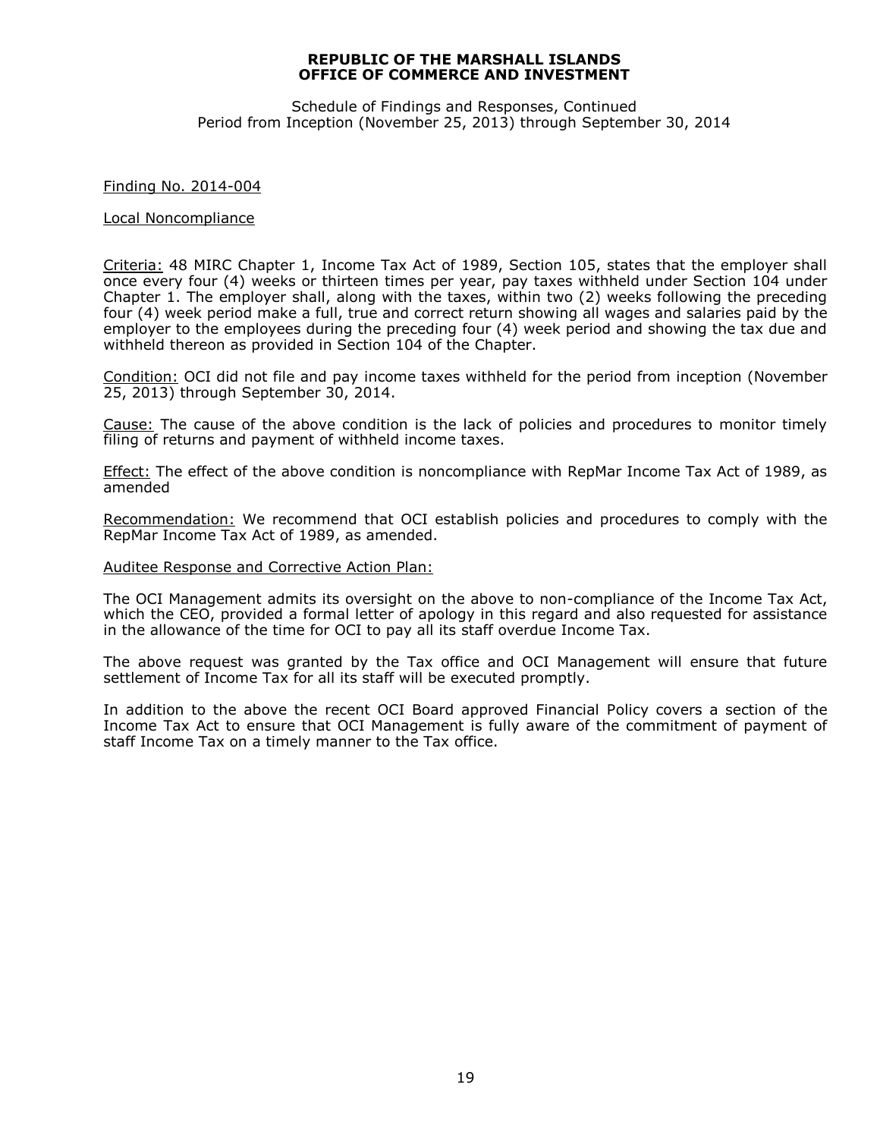Schedule of Findings and Responses, Continued Period from Inception (November 25, 2013) through September 30, 2014

#### Finding No. 2014-004

#### Local Noncompliance

Criteria: 48 MIRC Chapter 1, Income Tax Act of 1989, Section 105, states that the employer shall once every four (4) weeks or thirteen times per year, pay taxes withheld under Section 104 under Chapter 1. The employer shall, along with the taxes, within two (2) weeks following the preceding four (4) week period make a full, true and correct return showing all wages and salaries paid by the employer to the employees during the preceding four (4) week period and showing the tax due and withheld thereon as provided in Section 104 of the Chapter.

Condition: OCI did not file and pay income taxes withheld for the period from inception (November 25, 2013) through September 30, 2014.

Cause: The cause of the above condition is the lack of policies and procedures to monitor timely filing of returns and payment of withheld income taxes.

**Effect:** The effect of the above condition is noncompliance with RepMar Income Tax Act of 1989, as amended

Recommendation: We recommend that OCI establish policies and procedures to comply with the RepMar Income Tax Act of 1989, as amended.

#### Auditee Response and Corrective Action Plan:

The OCI Management admits its oversight on the above to non-compliance of the Income Tax Act, which the CEO, provided a formal letter of apology in this regard and also requested for assistance in the allowance of the time for OCI to pay all its staff overdue Income Tax.

The above request was granted by the Tax office and OCI Management will ensure that future settlement of Income Tax for all its staff will be executed promptly.

In addition to the above the recent OCI Board approved Financial Policy covers a section of the Income Tax Act to ensure that OCI Management is fully aware of the commitment of payment of staff Income Tax on a timely manner to the Tax office.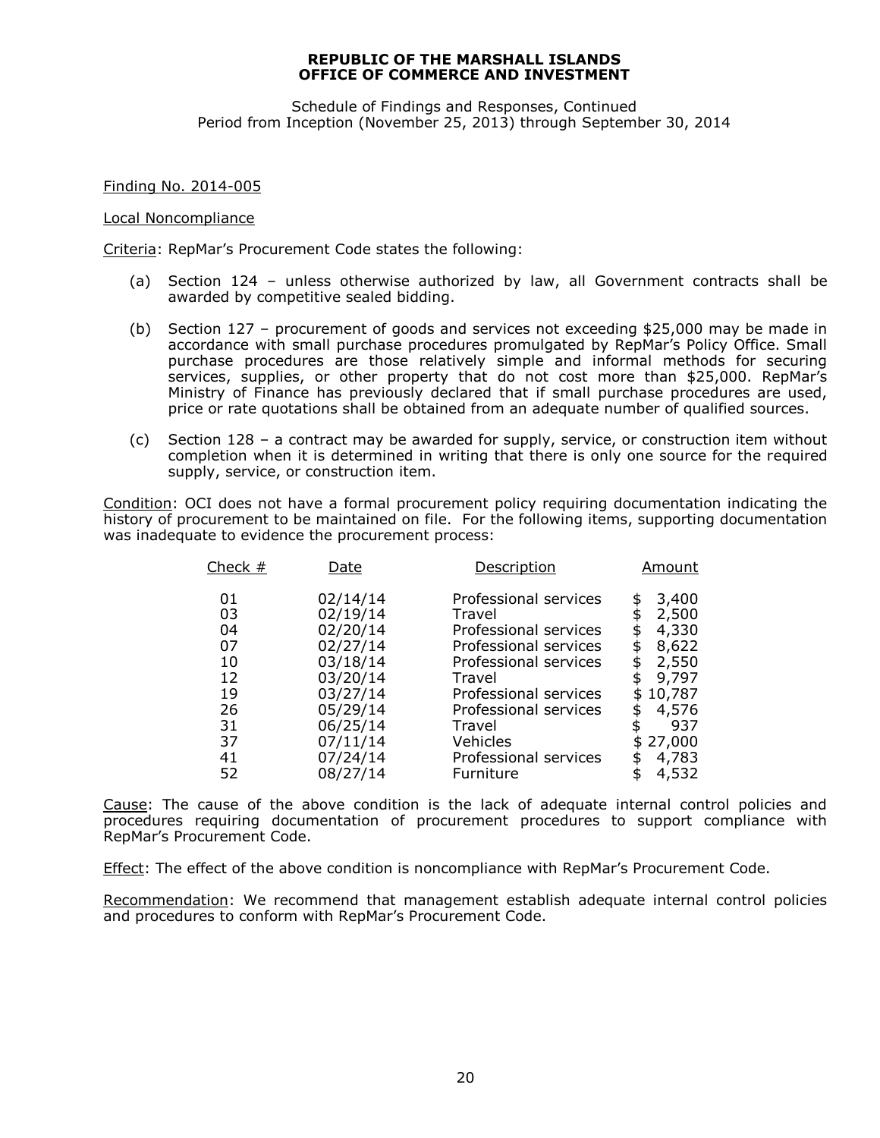Schedule of Findings and Responses, Continued Period from Inception (November 25, 2013) through September 30, 2014

Finding No. 2014-005

#### Local Noncompliance

Criteria: RepMar's Procurement Code states the following:

- (a) Section 124 unless otherwise authorized by law, all Government contracts shall be awarded by competitive sealed bidding.
- (b) Section 127 procurement of goods and services not exceeding \$25,000 may be made in accordance with small purchase procedures promulgated by RepMar's Policy Office. Small purchase procedures are those relatively simple and informal methods for securing services, supplies, or other property that do not cost more than \$25,000. RepMar's Ministry of Finance has previously declared that if small purchase procedures are used, price or rate quotations shall be obtained from an adequate number of qualified sources.
- (c) Section 128 a contract may be awarded for supply, service, or construction item without completion when it is determined in writing that there is only one source for the required supply, service, or construction item.

Condition: OCI does not have a formal procurement policy requiring documentation indicating the history of procurement to be maintained on file. For the following items, supporting documentation was inadequate to evidence the procurement process:

| Check $#$ | Date     | Description           | Amount       |
|-----------|----------|-----------------------|--------------|
| 01        | 02/14/14 | Professional services | 3,400<br>\$  |
| 03        | 02/19/14 | Travel                | 2,500<br>\$  |
| 04        | 02/20/14 | Professional services | 4,330<br>\$  |
| 07        | 02/27/14 | Professional services | 8,622<br>\$  |
| 10        | 03/18/14 | Professional services | 2,550<br>\$  |
| 12        | 03/20/14 | Travel                | 9,797        |
| 19        | 03/27/14 | Professional services | 10,787<br>\$ |
| 26        | 05/29/14 | Professional services | 4,576<br>S   |
| 31        | 06/25/14 | Travel                | 937          |
| 37        | 07/11/14 | Vehicles              | 27,000       |
| 41        | 07/24/14 | Professional services | 4,783<br>\$  |
| 52        | 08/27/14 | Furniture             | 4,532<br>\$  |

Cause: The cause of the above condition is the lack of adequate internal control policies and procedures requiring documentation of procurement procedures to support compliance with RepMar's Procurement Code.

Effect: The effect of the above condition is noncompliance with RepMar's Procurement Code.

Recommendation: We recommend that management establish adequate internal control policies and procedures to conform with RepMar's Procurement Code.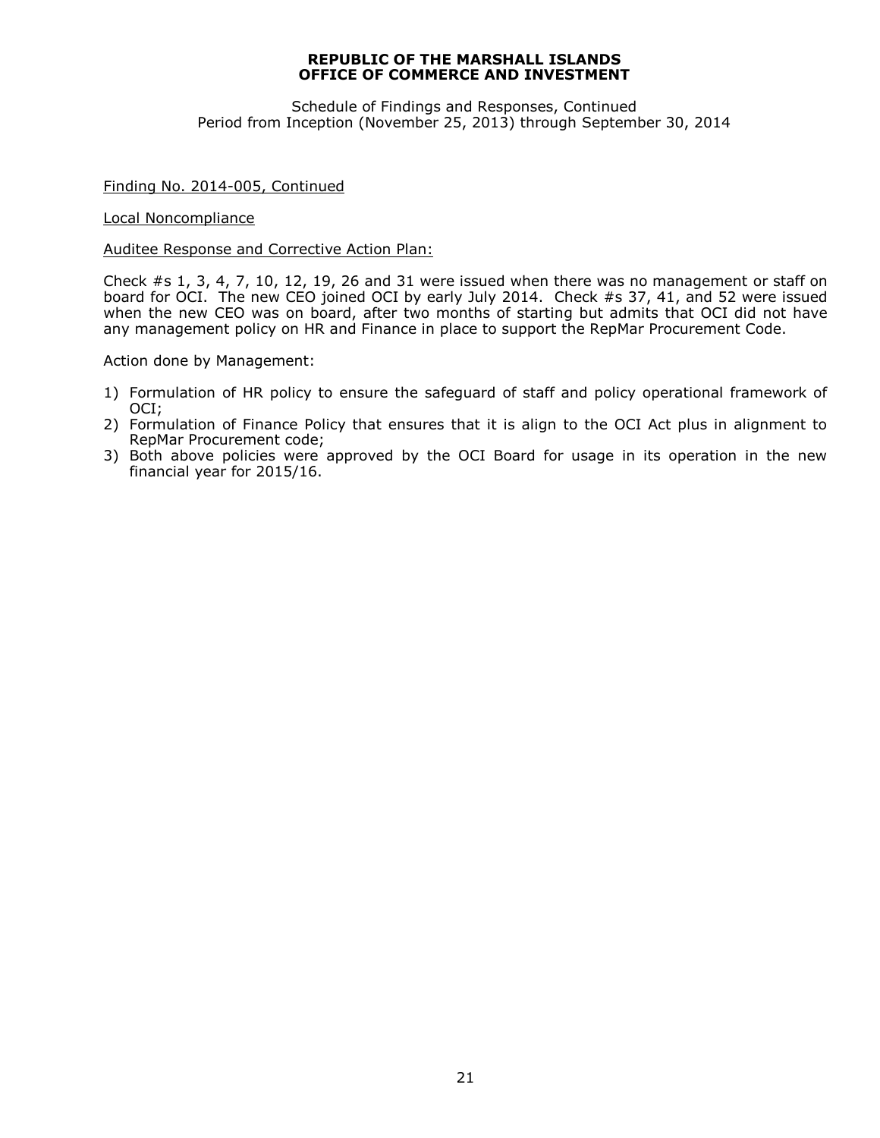Schedule of Findings and Responses, Continued Period from Inception (November 25, 2013) through September 30, 2014

#### Finding No. 2014-005, Continued

Local Noncompliance

#### Auditee Response and Corrective Action Plan:

Check #s 1, 3, 4, 7, 10, 12, 19, 26 and 31 were issued when there was no management or staff on board for OCI. The new CEO joined OCI by early July 2014. Check #s 37, 41, and 52 were issued when the new CEO was on board, after two months of starting but admits that OCI did not have any management policy on HR and Finance in place to support the RepMar Procurement Code.

Action done by Management:

- 1) Formulation of HR policy to ensure the safeguard of staff and policy operational framework of OCI;
- 2) Formulation of Finance Policy that ensures that it is align to the OCI Act plus in alignment to RepMar Procurement code;
- 3) Both above policies were approved by the OCI Board for usage in its operation in the new financial year for 2015/16.